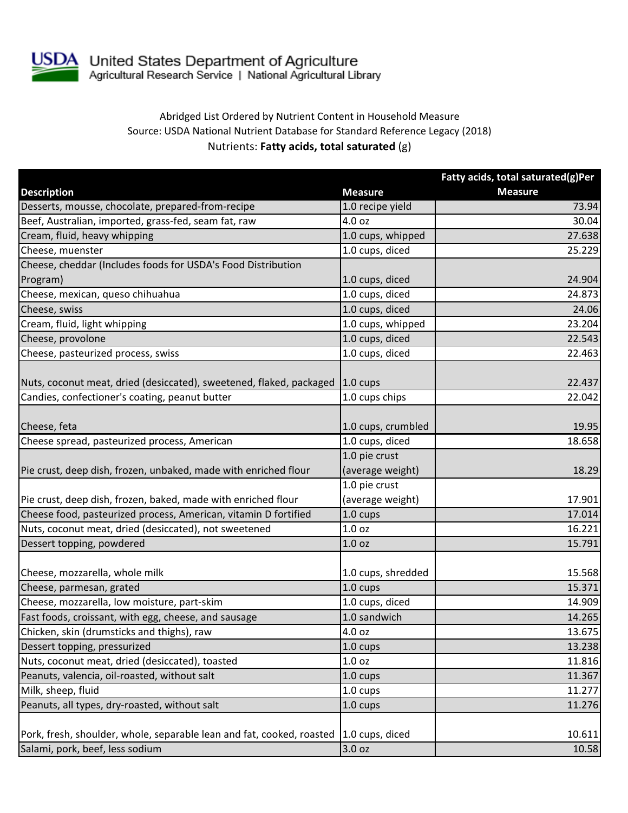

## Abridged List Ordered by Nutrient Content in Household Measure Source: USDA National Nutrient Database for Standard Reference Legacy (2018) Nutrients: **Fatty acids, total saturated** (g)

|                                                                       |                                | Fatty acids, total saturated(g)Per |
|-----------------------------------------------------------------------|--------------------------------|------------------------------------|
| <b>Description</b>                                                    | <b>Measure</b>                 | <b>Measure</b>                     |
| Desserts, mousse, chocolate, prepared-from-recipe                     | 1.0 recipe yield               | 73.94                              |
| Beef, Australian, imported, grass-fed, seam fat, raw                  | 4.0 oz                         | 30.04                              |
| Cream, fluid, heavy whipping                                          | 1.0 cups, whipped              | 27.638                             |
| Cheese, muenster                                                      | 1.0 cups, diced                | 25.229                             |
| Cheese, cheddar (Includes foods for USDA's Food Distribution          |                                |                                    |
| Program)                                                              | 1.0 cups, diced                | 24.904                             |
| Cheese, mexican, queso chihuahua                                      | 1.0 cups, diced                | 24.873                             |
| Cheese, swiss                                                         | 1.0 cups, diced                | 24.06                              |
| Cream, fluid, light whipping                                          | $\overline{1.0}$ cups, whipped | 23.204                             |
| Cheese, provolone                                                     | 1.0 cups, diced                | 22.543                             |
| Cheese, pasteurized process, swiss                                    | 1.0 cups, diced                | 22.463                             |
| Nuts, coconut meat, dried (desiccated), sweetened, flaked, packaged   | $1.0 \text{ cups}$             | 22.437                             |
| Candies, confectioner's coating, peanut butter                        | 1.0 cups chips                 | 22.042                             |
|                                                                       |                                |                                    |
| Cheese, feta                                                          | 1.0 cups, crumbled             | 19.95                              |
| Cheese spread, pasteurized process, American                          | 1.0 cups, diced                | 18.658                             |
|                                                                       | 1.0 pie crust                  |                                    |
| Pie crust, deep dish, frozen, unbaked, made with enriched flour       | (average weight)               | 18.29                              |
|                                                                       | 1.0 pie crust                  |                                    |
| Pie crust, deep dish, frozen, baked, made with enriched flour         | (average weight)               | 17.901                             |
| Cheese food, pasteurized process, American, vitamin D fortified       | 1.0 cups                       | 17.014                             |
| Nuts, coconut meat, dried (desiccated), not sweetened                 | 1.0 <sub>oz</sub>              | 16.221                             |
| Dessert topping, powdered                                             | 1.0 <sub>oz</sub>              | 15.791                             |
|                                                                       |                                |                                    |
| Cheese, mozzarella, whole milk                                        | 1.0 cups, shredded             | 15.568                             |
| Cheese, parmesan, grated                                              | 1.0 cups                       | 15.371                             |
| Cheese, mozzarella, low moisture, part-skim                           | 1.0 cups, diced                | 14.909                             |
| Fast foods, croissant, with egg, cheese, and sausage                  | 1.0 sandwich                   | 14.265                             |
| Chicken, skin (drumsticks and thighs), raw                            | 4.0 oz                         | 13.675                             |
| Dessert topping, pressurized                                          | 1.0 cups                       | 13.238                             |
| Nuts, coconut meat, dried (desiccated), toasted                       | 1.0 <sub>oz</sub>              | 11.816                             |
| Peanuts, valencia, oil-roasted, without salt                          | 1.0 cups                       | 11.367                             |
| Milk, sheep, fluid                                                    | 1.0 cups                       | 11.277                             |
| Peanuts, all types, dry-roasted, without salt                         | 1.0 cups                       | 11.276                             |
|                                                                       |                                |                                    |
| Pork, fresh, shoulder, whole, separable lean and fat, cooked, roasted | 1.0 cups, diced                | 10.611                             |
| Salami, pork, beef, less sodium                                       | 3.0 oz                         | 10.58                              |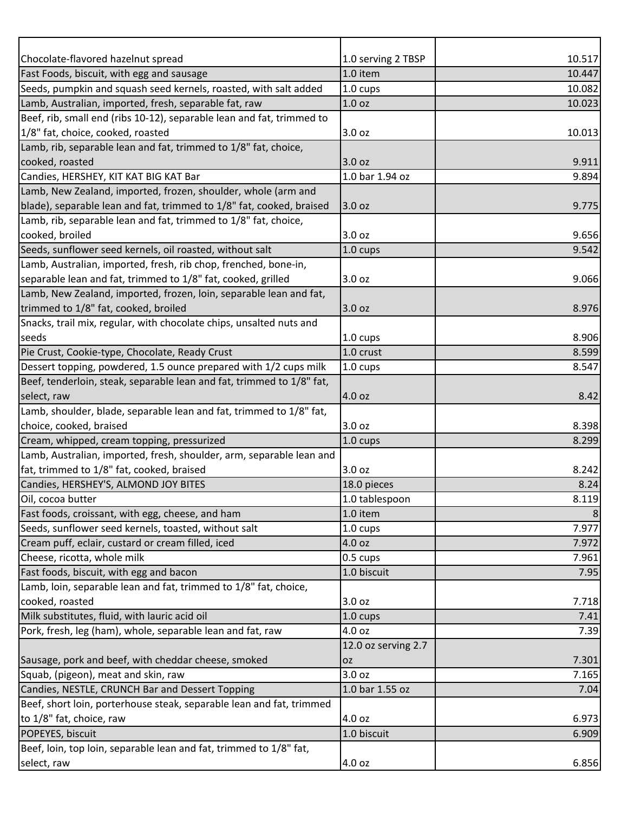| Chocolate-flavored hazelnut spread                                                     | 1.0 serving 2 TBSP  | 10.517        |
|----------------------------------------------------------------------------------------|---------------------|---------------|
| Fast Foods, biscuit, with egg and sausage                                              | 1.0 item            | 10.447        |
| Seeds, pumpkin and squash seed kernels, roasted, with salt added                       | 1.0 cups            | 10.082        |
| Lamb, Australian, imported, fresh, separable fat, raw                                  | 1.0 <sub>oz</sub>   | 10.023        |
| Beef, rib, small end (ribs 10-12), separable lean and fat, trimmed to                  |                     |               |
| 1/8" fat, choice, cooked, roasted                                                      | 3.0 oz              | 10.013        |
| Lamb, rib, separable lean and fat, trimmed to 1/8" fat, choice,                        |                     |               |
| cooked, roasted                                                                        | 3.0 oz              | 9.911         |
| Candies, HERSHEY, KIT KAT BIG KAT Bar                                                  | 1.0 bar 1.94 oz     | 9.894         |
| Lamb, New Zealand, imported, frozen, shoulder, whole (arm and                          |                     |               |
| blade), separable lean and fat, trimmed to 1/8" fat, cooked, braised                   | 3.0 oz              | 9.775         |
| Lamb, rib, separable lean and fat, trimmed to 1/8" fat, choice,                        |                     |               |
| cooked, broiled                                                                        | 3.0 oz              | 9.656         |
| Seeds, sunflower seed kernels, oil roasted, without salt                               | 1.0 cups            | 9.542         |
| Lamb, Australian, imported, fresh, rib chop, frenched, bone-in,                        |                     |               |
| separable lean and fat, trimmed to 1/8" fat, cooked, grilled                           | 3.0 oz              | 9.066         |
| Lamb, New Zealand, imported, frozen, loin, separable lean and fat,                     |                     |               |
| trimmed to 1/8" fat, cooked, broiled                                                   | 3.0 oz              | 8.976         |
| Snacks, trail mix, regular, with chocolate chips, unsalted nuts and                    |                     |               |
| seeds                                                                                  | 1.0 cups            | 8.906         |
| Pie Crust, Cookie-type, Chocolate, Ready Crust                                         | 1.0 crust           | 8.599         |
| Dessert topping, powdered, 1.5 ounce prepared with 1/2 cups milk                       | 1.0 cups            | 8.547         |
| Beef, tenderloin, steak, separable lean and fat, trimmed to 1/8" fat,                  |                     |               |
| select, raw                                                                            | 4.0 oz              | 8.42          |
| Lamb, shoulder, blade, separable lean and fat, trimmed to 1/8" fat,                    |                     |               |
| choice, cooked, braised                                                                | 3.0 oz              | 8.398         |
| Cream, whipped, cream topping, pressurized                                             | 1.0 cups            | 8.299         |
| Lamb, Australian, imported, fresh, shoulder, arm, separable lean and                   |                     |               |
| fat, trimmed to 1/8" fat, cooked, braised                                              | 3.0 oz              | 8.242         |
| Candies, HERSHEY'S, ALMOND JOY BITES                                                   | 18.0 pieces         | 8.24          |
| Oil, cocoa butter                                                                      | 1.0 tablespoon      | 8.119         |
| Fast foods, croissant, with egg, cheese, and ham                                       | 1.0 item            | 8             |
| Seeds, sunflower seed kernels, toasted, without salt                                   | 1.0 cups            | 7.977         |
| Cream puff, eclair, custard or cream filled, iced                                      | 4.0 oz              | 7.972         |
| Cheese, ricotta, whole milk                                                            | 0.5 cups            | 7.961         |
| Fast foods, biscuit, with egg and bacon                                                | 1.0 biscuit         | 7.95          |
| Lamb, loin, separable lean and fat, trimmed to 1/8" fat, choice,                       |                     |               |
| cooked, roasted                                                                        | 3.0 oz              | 7.718         |
| Milk substitutes, fluid, with lauric acid oil                                          | 1.0 cups            | 7.41          |
| Pork, fresh, leg (ham), whole, separable lean and fat, raw                             | 4.0 oz              | 7.39          |
|                                                                                        | 12.0 oz serving 2.7 |               |
| Sausage, pork and beef, with cheddar cheese, smoked                                    | <b>OZ</b>           | 7.301         |
|                                                                                        | 3.0 oz              |               |
| Squab, (pigeon), meat and skin, raw<br>Candies, NESTLE, CRUNCH Bar and Dessert Topping | 1.0 bar 1.55 oz     | 7.165<br>7.04 |
|                                                                                        |                     |               |
| Beef, short loin, porterhouse steak, separable lean and fat, trimmed                   |                     |               |
| to 1/8" fat, choice, raw                                                               | 4.0 oz              | 6.973         |
| POPEYES, biscuit                                                                       | 1.0 biscuit         | 6.909         |
| Beef, loin, top loin, separable lean and fat, trimmed to 1/8" fat,                     |                     |               |
| select, raw                                                                            | 4.0 oz              | 6.856         |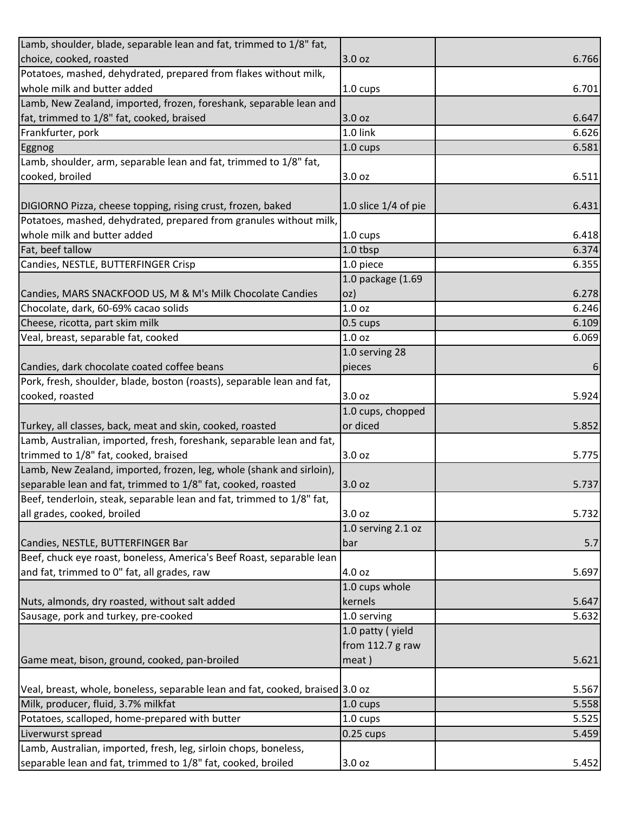| Lamb, shoulder, blade, separable lean and fat, trimmed to 1/8" fat,           |                        |       |
|-------------------------------------------------------------------------------|------------------------|-------|
| choice, cooked, roasted                                                       | 3.0 oz                 | 6.766 |
| Potatoes, mashed, dehydrated, prepared from flakes without milk,              |                        |       |
| whole milk and butter added                                                   | 1.0 cups               | 6.701 |
| Lamb, New Zealand, imported, frozen, foreshank, separable lean and            |                        |       |
| fat, trimmed to 1/8" fat, cooked, braised                                     | 3.0 oz                 | 6.647 |
| Frankfurter, pork                                                             | 1.0 link               | 6.626 |
| Eggnog                                                                        | 1.0 cups               | 6.581 |
| Lamb, shoulder, arm, separable lean and fat, trimmed to 1/8" fat,             |                        |       |
| cooked, broiled                                                               | 3.0 oz                 | 6.511 |
|                                                                               |                        |       |
| DIGIORNO Pizza, cheese topping, rising crust, frozen, baked                   | 1.0 slice $1/4$ of pie | 6.431 |
| Potatoes, mashed, dehydrated, prepared from granules without milk,            |                        |       |
| whole milk and butter added                                                   | 1.0 cups               | 6.418 |
| Fat, beef tallow                                                              | 1.0 tbsp               | 6.374 |
| Candies, NESTLE, BUTTERFINGER Crisp                                           | 1.0 piece              | 6.355 |
|                                                                               | 1.0 package (1.69      |       |
| Candies, MARS SNACKFOOD US, M & M's Milk Chocolate Candies                    | OZ)                    | 6.278 |
| Chocolate, dark, 60-69% cacao solids                                          | 1.0 <sub>oz</sub>      | 6.246 |
| Cheese, ricotta, part skim milk                                               | 0.5 cups               | 6.109 |
| Veal, breast, separable fat, cooked                                           | 1.0 <sub>oz</sub>      | 6.069 |
|                                                                               | 1.0 serving 28         |       |
| Candies, dark chocolate coated coffee beans                                   | pieces                 | 6     |
| Pork, fresh, shoulder, blade, boston (roasts), separable lean and fat,        |                        |       |
| cooked, roasted                                                               | 3.0 oz                 | 5.924 |
|                                                                               | 1.0 cups, chopped      |       |
| Turkey, all classes, back, meat and skin, cooked, roasted                     | or diced               | 5.852 |
| Lamb, Australian, imported, fresh, foreshank, separable lean and fat,         |                        |       |
| trimmed to 1/8" fat, cooked, braised                                          | 3.0 oz                 | 5.775 |
| Lamb, New Zealand, imported, frozen, leg, whole (shank and sirloin),          |                        |       |
| separable lean and fat, trimmed to 1/8" fat, cooked, roasted                  | 3.0 oz                 | 5.737 |
| Beef, tenderloin, steak, separable lean and fat, trimmed to 1/8" fat,         |                        |       |
| all grades, cooked, broiled                                                   | 3.0 oz                 | 5.732 |
|                                                                               | 1.0 serving 2.1 oz     |       |
| Candies, NESTLE, BUTTERFINGER Bar                                             | bar                    | 5.7   |
| Beef, chuck eye roast, boneless, America's Beef Roast, separable lean         |                        |       |
| and fat, trimmed to 0" fat, all grades, raw                                   | 4.0 oz                 | 5.697 |
|                                                                               | 1.0 cups whole         |       |
| Nuts, almonds, dry roasted, without salt added                                | kernels                | 5.647 |
| Sausage, pork and turkey, pre-cooked                                          | 1.0 serving            | 5.632 |
|                                                                               | 1.0 patty (yield       |       |
|                                                                               | from $112.7$ g raw     |       |
| Game meat, bison, ground, cooked, pan-broiled                                 | meat)                  | 5.621 |
|                                                                               |                        |       |
| Veal, breast, whole, boneless, separable lean and fat, cooked, braised 3.0 oz |                        | 5.567 |
| Milk, producer, fluid, 3.7% milkfat                                           | 1.0 cups               | 5.558 |
| Potatoes, scalloped, home-prepared with butter                                | 1.0 cups               | 5.525 |
| Liverwurst spread                                                             | $0.25$ cups            | 5.459 |
| Lamb, Australian, imported, fresh, leg, sirloin chops, boneless,              |                        |       |
| separable lean and fat, trimmed to 1/8" fat, cooked, broiled                  | 3.0 oz                 | 5.452 |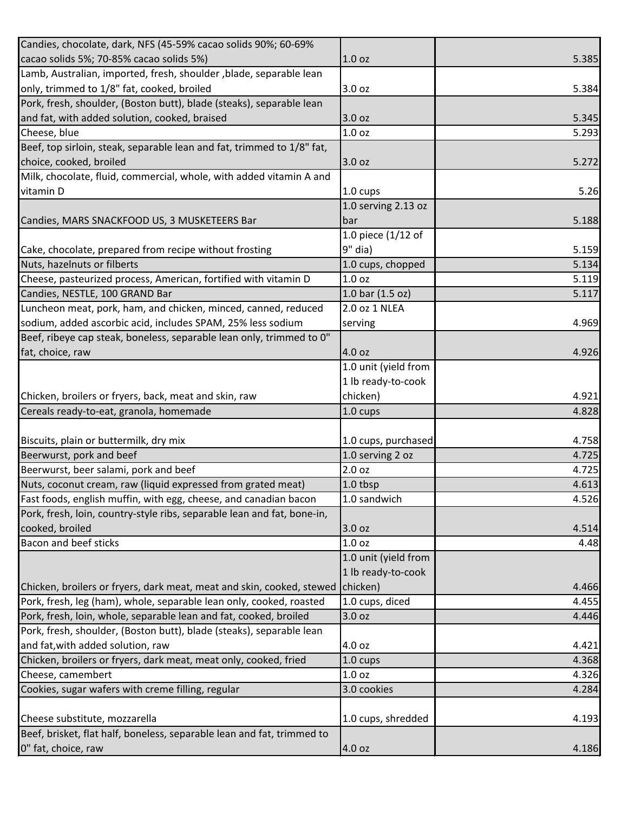| Candies, chocolate, dark, NFS (45-59% cacao solids 90%; 60-69%          |                      |       |
|-------------------------------------------------------------------------|----------------------|-------|
| cacao solids 5%; 70-85% cacao solids 5%)                                | 1.0 <sub>oz</sub>    | 5.385 |
| Lamb, Australian, imported, fresh, shoulder, blade, separable lean      |                      |       |
| only, trimmed to 1/8" fat, cooked, broiled                              | 3.0 oz               | 5.384 |
| Pork, fresh, shoulder, (Boston butt), blade (steaks), separable lean    |                      |       |
| and fat, with added solution, cooked, braised                           | 3.0 oz               | 5.345 |
| Cheese, blue                                                            | 1.0 <sub>oz</sub>    | 5.293 |
| Beef, top sirloin, steak, separable lean and fat, trimmed to 1/8" fat,  |                      |       |
| choice, cooked, broiled                                                 | 3.0 oz               | 5.272 |
| Milk, chocolate, fluid, commercial, whole, with added vitamin A and     |                      |       |
| vitamin D                                                               | $1.0 \text{ cups}$   | 5.26  |
|                                                                         | 1.0 serving 2.13 oz  |       |
| Candies, MARS SNACKFOOD US, 3 MUSKETEERS Bar                            | bar                  | 5.188 |
|                                                                         | 1.0 piece (1/12 of   |       |
| Cake, chocolate, prepared from recipe without frosting                  | $9"$ dia)            | 5.159 |
| Nuts, hazelnuts or filberts                                             | 1.0 cups, chopped    | 5.134 |
| Cheese, pasteurized process, American, fortified with vitamin D         | 1.0 <sub>oz</sub>    | 5.119 |
| Candies, NESTLE, 100 GRAND Bar                                          | 1.0 bar $(1.5 oz)$   | 5.117 |
| Luncheon meat, pork, ham, and chicken, minced, canned, reduced          | 2.0 oz 1 NLEA        |       |
| sodium, added ascorbic acid, includes SPAM, 25% less sodium             | serving              | 4.969 |
| Beef, ribeye cap steak, boneless, separable lean only, trimmed to 0"    |                      |       |
| fat, choice, raw                                                        | 4.0 oz               | 4.926 |
|                                                                         | 1.0 unit (yield from |       |
|                                                                         | 1 lb ready-to-cook   |       |
| Chicken, broilers or fryers, back, meat and skin, raw                   | chicken)             | 4.921 |
| Cereals ready-to-eat, granola, homemade                                 | 1.0 cups             | 4.828 |
|                                                                         |                      |       |
| Biscuits, plain or buttermilk, dry mix                                  | 1.0 cups, purchased  | 4.758 |
| Beerwurst, pork and beef                                                | 1.0 serving 2 oz     | 4.725 |
| Beerwurst, beer salami, pork and beef                                   | 2.0 <sub>oz</sub>    | 4.725 |
| Nuts, coconut cream, raw (liquid expressed from grated meat)            | 1.0 tbsp             | 4.613 |
| Fast foods, english muffin, with egg, cheese, and canadian bacon        | 1.0 sandwich         | 4.526 |
| Pork, fresh, loin, country-style ribs, separable lean and fat, bone-in, |                      |       |
| cooked, broiled                                                         | 3.0 oz               | 4.514 |
| Bacon and beef sticks                                                   | 1.0 <sub>oz</sub>    | 4.48  |
|                                                                         | 1.0 unit (yield from |       |
|                                                                         | 1 lb ready-to-cook   |       |
| Chicken, broilers or fryers, dark meat, meat and skin, cooked, stewed   | chicken)             | 4.466 |
| Pork, fresh, leg (ham), whole, separable lean only, cooked, roasted     | 1.0 cups, diced      | 4.455 |
| Pork, fresh, loin, whole, separable lean and fat, cooked, broiled       | 3.0 oz               | 4.446 |
| Pork, fresh, shoulder, (Boston butt), blade (steaks), separable lean    |                      |       |
| and fat, with added solution, raw                                       | 4.0 oz               | 4.421 |
| Chicken, broilers or fryers, dark meat, meat only, cooked, fried        | $1.0 \text{ cups}$   | 4.368 |
| Cheese, camembert                                                       | 1.0 <sub>oz</sub>    | 4.326 |
| Cookies, sugar wafers with creme filling, regular                       | 3.0 cookies          | 4.284 |
|                                                                         |                      |       |
| Cheese substitute, mozzarella                                           | 1.0 cups, shredded   | 4.193 |
| Beef, brisket, flat half, boneless, separable lean and fat, trimmed to  |                      |       |
| 0" fat, choice, raw                                                     | 4.0 oz               | 4.186 |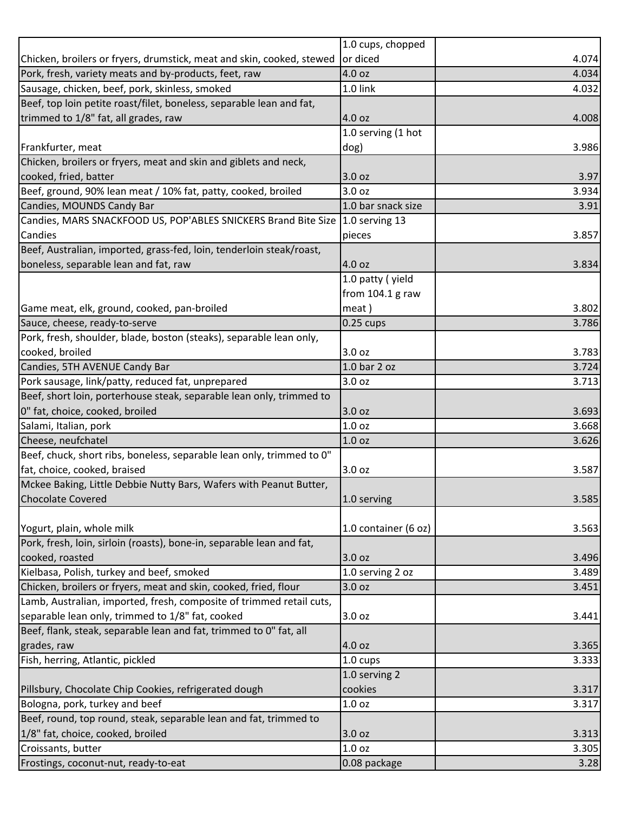|                                                                               | 1.0 cups, chopped    |       |
|-------------------------------------------------------------------------------|----------------------|-------|
| Chicken, broilers or fryers, drumstick, meat and skin, cooked, stewed         | or diced             | 4.074 |
| Pork, fresh, variety meats and by-products, feet, raw                         | 4.0 oz               | 4.034 |
| Sausage, chicken, beef, pork, skinless, smoked                                | 1.0 link             | 4.032 |
| Beef, top loin petite roast/filet, boneless, separable lean and fat,          |                      |       |
| trimmed to 1/8" fat, all grades, raw                                          | 4.0 oz               | 4.008 |
|                                                                               | 1.0 serving (1 hot   |       |
| Frankfurter, meat                                                             | dog)                 | 3.986 |
| Chicken, broilers or fryers, meat and skin and giblets and neck,              |                      |       |
| cooked, fried, batter                                                         | 3.0 oz               | 3.97  |
| Beef, ground, 90% lean meat / 10% fat, patty, cooked, broiled                 | 3.0 <sub>oz</sub>    | 3.934 |
| Candies, MOUNDS Candy Bar                                                     | 1.0 bar snack size   | 3.91  |
| Candies, MARS SNACKFOOD US, POP'ABLES SNICKERS Brand Bite Size 1.0 serving 13 |                      |       |
| Candies                                                                       | pieces               | 3.857 |
| Beef, Australian, imported, grass-fed, loin, tenderloin steak/roast,          |                      |       |
| boneless, separable lean and fat, raw                                         | 4.0 oz               | 3.834 |
|                                                                               | 1.0 patty (yield     |       |
|                                                                               | from 104.1 g raw     |       |
| Game meat, elk, ground, cooked, pan-broiled                                   | meat)                | 3.802 |
| Sauce, cheese, ready-to-serve                                                 | $0.25$ cups          | 3.786 |
| Pork, fresh, shoulder, blade, boston (steaks), separable lean only,           |                      |       |
| cooked, broiled                                                               | 3.0 oz               | 3.783 |
| Candies, 5TH AVENUE Candy Bar                                                 | 1.0 bar 2 oz         | 3.724 |
| Pork sausage, link/patty, reduced fat, unprepared                             | 3.0 oz               | 3.713 |
| Beef, short loin, porterhouse steak, separable lean only, trimmed to          |                      |       |
| 0" fat, choice, cooked, broiled                                               | 3.0 oz               | 3.693 |
| Salami, Italian, pork                                                         | 1.0 <sub>oz</sub>    | 3.668 |
| Cheese, neufchatel                                                            | 1.0 <sub>oz</sub>    | 3.626 |
| Beef, chuck, short ribs, boneless, separable lean only, trimmed to 0"         |                      |       |
| fat, choice, cooked, braised                                                  | 3.0 oz               | 3.587 |
| Mckee Baking, Little Debbie Nutty Bars, Wafers with Peanut Butter,            |                      |       |
| <b>Chocolate Covered</b>                                                      | 1.0 serving          | 3.585 |
|                                                                               |                      |       |
| Yogurt, plain, whole milk                                                     | 1.0 container (6 oz) | 3.563 |
| Pork, fresh, loin, sirloin (roasts), bone-in, separable lean and fat,         |                      |       |
| cooked, roasted                                                               | 3.0 oz               | 3.496 |
| Kielbasa, Polish, turkey and beef, smoked                                     | 1.0 serving 2 oz     | 3.489 |
| Chicken, broilers or fryers, meat and skin, cooked, fried, flour              | 3.0 <sub>oz</sub>    | 3.451 |
| Lamb, Australian, imported, fresh, composite of trimmed retail cuts,          |                      |       |
| separable lean only, trimmed to 1/8" fat, cooked                              | 3.0 oz               | 3.441 |
| Beef, flank, steak, separable lean and fat, trimmed to 0" fat, all            |                      |       |
| grades, raw                                                                   | 4.0 oz               | 3.365 |
| Fish, herring, Atlantic, pickled                                              | 1.0 cups             | 3.333 |
|                                                                               | 1.0 serving 2        |       |
| Pillsbury, Chocolate Chip Cookies, refrigerated dough                         | cookies              | 3.317 |
| Bologna, pork, turkey and beef                                                | 1.0 <sub>oz</sub>    | 3.317 |
| Beef, round, top round, steak, separable lean and fat, trimmed to             |                      |       |
| 1/8" fat, choice, cooked, broiled                                             | 3.0 <sub>oz</sub>    | 3.313 |
| Croissants, butter                                                            | 1.0 <sub>oz</sub>    | 3.305 |
| Frostings, coconut-nut, ready-to-eat                                          | 0.08 package         | 3.28  |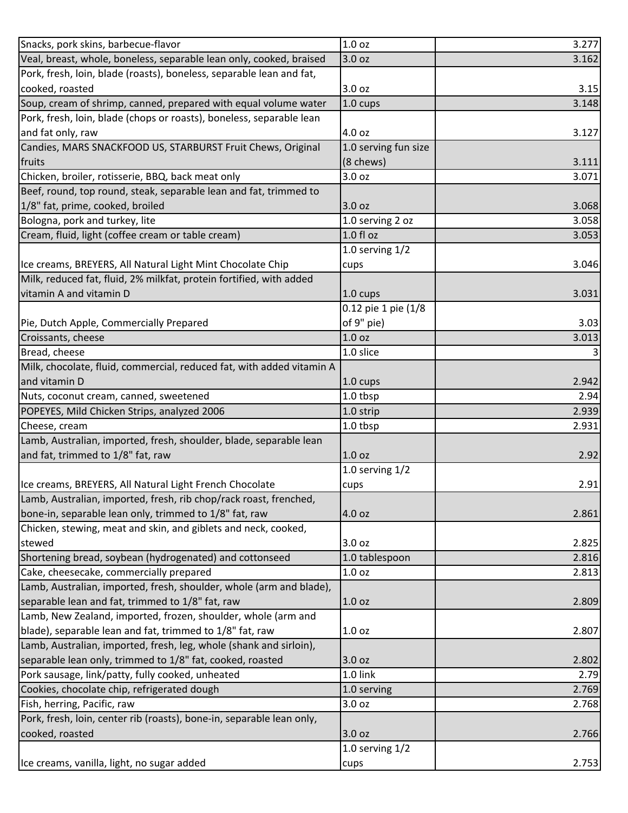| Snacks, pork skins, barbecue-flavor                                   | 1.0 <sub>oz</sub>    | 3.277 |
|-----------------------------------------------------------------------|----------------------|-------|
| Veal, breast, whole, boneless, separable lean only, cooked, braised   | 3.0 oz               | 3.162 |
| Pork, fresh, loin, blade (roasts), boneless, separable lean and fat,  |                      |       |
| cooked, roasted                                                       | 3.0 oz               | 3.15  |
| Soup, cream of shrimp, canned, prepared with equal volume water       | $1.0 \text{ cups}$   | 3.148 |
| Pork, fresh, loin, blade (chops or roasts), boneless, separable lean  |                      |       |
| and fat only, raw                                                     | 4.0 oz               | 3.127 |
| Candies, MARS SNACKFOOD US, STARBURST Fruit Chews, Original           | 1.0 serving fun size |       |
| fruits                                                                | (8 chews)            | 3.111 |
| Chicken, broiler, rotisserie, BBQ, back meat only                     | 3.0 oz               | 3.071 |
| Beef, round, top round, steak, separable lean and fat, trimmed to     |                      |       |
| 1/8" fat, prime, cooked, broiled                                      | 3.0 oz               | 3.068 |
| Bologna, pork and turkey, lite                                        | 1.0 serving 2 oz     | 3.058 |
| Cream, fluid, light (coffee cream or table cream)                     | 1.0 fl oz            | 3.053 |
|                                                                       | 1.0 serving $1/2$    |       |
| Ice creams, BREYERS, All Natural Light Mint Chocolate Chip            | cups                 | 3.046 |
| Milk, reduced fat, fluid, 2% milkfat, protein fortified, with added   |                      |       |
| vitamin A and vitamin D                                               | 1.0 cups             | 3.031 |
|                                                                       | 0.12 pie 1 pie (1/8  |       |
| Pie, Dutch Apple, Commercially Prepared                               | of 9" pie)           | 3.03  |
| Croissants, cheese                                                    | 1.0 <sub>oz</sub>    | 3.013 |
| Bread, cheese                                                         | 1.0 slice            |       |
| Milk, chocolate, fluid, commercial, reduced fat, with added vitamin A |                      |       |
| and vitamin D                                                         | 1.0 cups             | 2.942 |
| Nuts, coconut cream, canned, sweetened                                | 1.0 tbsp             | 2.94  |
| POPEYES, Mild Chicken Strips, analyzed 2006                           | 1.0 strip            | 2.939 |
| Cheese, cream                                                         | 1.0 tbsp             | 2.931 |
| Lamb, Australian, imported, fresh, shoulder, blade, separable lean    |                      |       |
| and fat, trimmed to 1/8" fat, raw                                     | 1.0 <sub>oz</sub>    | 2.92  |
|                                                                       | 1.0 serving $1/2$    |       |
| Ice creams, BREYERS, All Natural Light French Chocolate               | cups                 | 2.91  |
| Lamb, Australian, imported, fresh, rib chop/rack roast, frenched,     |                      |       |
| bone-in, separable lean only, trimmed to 1/8" fat, raw                | 4.0 oz               | 2.861 |
| Chicken, stewing, meat and skin, and giblets and neck, cooked,        |                      |       |
| stewed                                                                | 3.0 oz               | 2.825 |
| Shortening bread, soybean (hydrogenated) and cottonseed               | 1.0 tablespoon       | 2.816 |
| Cake, cheesecake, commercially prepared                               | 1.0 <sub>oz</sub>    | 2.813 |
| Lamb, Australian, imported, fresh, shoulder, whole (arm and blade),   |                      |       |
| separable lean and fat, trimmed to 1/8" fat, raw                      | 1.0 <sub>oz</sub>    | 2.809 |
| Lamb, New Zealand, imported, frozen, shoulder, whole (arm and         |                      |       |
| blade), separable lean and fat, trimmed to 1/8" fat, raw              | 1.0 <sub>oz</sub>    | 2.807 |
| Lamb, Australian, imported, fresh, leg, whole (shank and sirloin),    |                      |       |
| separable lean only, trimmed to 1/8" fat, cooked, roasted             | 3.0 oz               | 2.802 |
| Pork sausage, link/patty, fully cooked, unheated                      | 1.0 link             | 2.79  |
|                                                                       |                      |       |
| Cookies, chocolate chip, refrigerated dough                           | 1.0 serving          | 2.769 |
| Fish, herring, Pacific, raw                                           | 3.0 oz               | 2.768 |
| Pork, fresh, loin, center rib (roasts), bone-in, separable lean only, |                      |       |
| cooked, roasted                                                       | 3.0 oz               | 2.766 |
|                                                                       | 1.0 serving $1/2$    |       |
| Ice creams, vanilla, light, no sugar added                            | cups                 | 2.753 |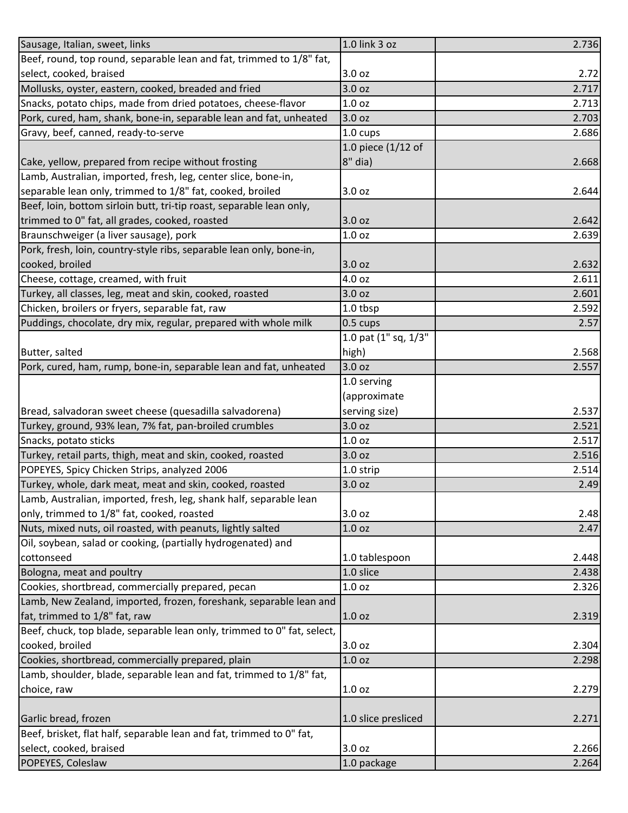| Sausage, Italian, sweet, links                                          | 1.0 link 3 oz        | 2.736 |
|-------------------------------------------------------------------------|----------------------|-------|
| Beef, round, top round, separable lean and fat, trimmed to 1/8" fat,    |                      |       |
| select, cooked, braised                                                 | 3.0 oz               | 2.72  |
| Mollusks, oyster, eastern, cooked, breaded and fried                    | 3.0 oz               | 2.717 |
| Snacks, potato chips, made from dried potatoes, cheese-flavor           | 1.0 <sub>oz</sub>    | 2.713 |
| Pork, cured, ham, shank, bone-in, separable lean and fat, unheated      | 3.0 oz               | 2.703 |
| Gravy, beef, canned, ready-to-serve                                     | 1.0 cups             | 2.686 |
|                                                                         | 1.0 piece $(1/12$ of |       |
| Cake, yellow, prepared from recipe without frosting                     | 8" dia)              | 2.668 |
| Lamb, Australian, imported, fresh, leg, center slice, bone-in,          |                      |       |
| separable lean only, trimmed to 1/8" fat, cooked, broiled               | 3.0 oz               | 2.644 |
| Beef, loin, bottom sirloin butt, tri-tip roast, separable lean only,    |                      |       |
| trimmed to 0" fat, all grades, cooked, roasted                          | 3.0 oz               | 2.642 |
| Braunschweiger (a liver sausage), pork                                  | 1.0 <sub>oz</sub>    | 2.639 |
| Pork, fresh, loin, country-style ribs, separable lean only, bone-in,    |                      |       |
| cooked, broiled                                                         | 3.0 oz               | 2.632 |
| Cheese, cottage, creamed, with fruit                                    | 4.0 oz               | 2.611 |
| Turkey, all classes, leg, meat and skin, cooked, roasted                | 3.0 <sub>oz</sub>    | 2.601 |
| Chicken, broilers or fryers, separable fat, raw                         | 1.0 tbsp             | 2.592 |
| Puddings, chocolate, dry mix, regular, prepared with whole milk         | 0.5 cups             | 2.57  |
|                                                                         | 1.0 pat (1" sq, 1/3" |       |
| Butter, salted                                                          | high)                | 2.568 |
| Pork, cured, ham, rump, bone-in, separable lean and fat, unheated       | 3.0 oz               | 2.557 |
|                                                                         | 1.0 serving          |       |
|                                                                         | (approximate         |       |
| Bread, salvadoran sweet cheese (quesadilla salvadorena)                 | serving size)        | 2.537 |
| Turkey, ground, 93% lean, 7% fat, pan-broiled crumbles                  | 3.0 oz               | 2.521 |
| Snacks, potato sticks                                                   | 1.0 <sub>oz</sub>    | 2.517 |
| Turkey, retail parts, thigh, meat and skin, cooked, roasted             | 3.0 oz               | 2.516 |
| POPEYES, Spicy Chicken Strips, analyzed 2006                            | 1.0 strip            | 2.514 |
| Turkey, whole, dark meat, meat and skin, cooked, roasted                | 3.0 oz               | 2.49  |
| Lamb, Australian, imported, fresh, leg, shank half, separable lean      |                      |       |
| only, trimmed to 1/8" fat, cooked, roasted                              | 3.0 oz               | 2.48  |
| Nuts, mixed nuts, oil roasted, with peanuts, lightly salted             | 1.0 <sub>oz</sub>    | 2.47  |
| Oil, soybean, salad or cooking, (partially hydrogenated) and            |                      |       |
| cottonseed                                                              | 1.0 tablespoon       | 2.448 |
| Bologna, meat and poultry                                               | 1.0 slice            | 2.438 |
| Cookies, shortbread, commercially prepared, pecan                       | 1.0 <sub>oz</sub>    | 2.326 |
| Lamb, New Zealand, imported, frozen, foreshank, separable lean and      |                      |       |
| fat, trimmed to 1/8" fat, raw                                           | 1.0 <sub>oz</sub>    | 2.319 |
| Beef, chuck, top blade, separable lean only, trimmed to 0" fat, select, |                      |       |
| cooked, broiled                                                         | 3.0 oz               | 2.304 |
| Cookies, shortbread, commercially prepared, plain                       | 1.0 <sub>oz</sub>    | 2.298 |
| Lamb, shoulder, blade, separable lean and fat, trimmed to 1/8" fat,     |                      |       |
| choice, raw                                                             | 1.0 <sub>oz</sub>    | 2.279 |
|                                                                         |                      |       |
| Garlic bread, frozen                                                    | 1.0 slice presliced  | 2.271 |
| Beef, brisket, flat half, separable lean and fat, trimmed to 0" fat,    |                      |       |
| select, cooked, braised                                                 | 3.0 oz               | 2.266 |
| POPEYES, Coleslaw                                                       | 1.0 package          | 2.264 |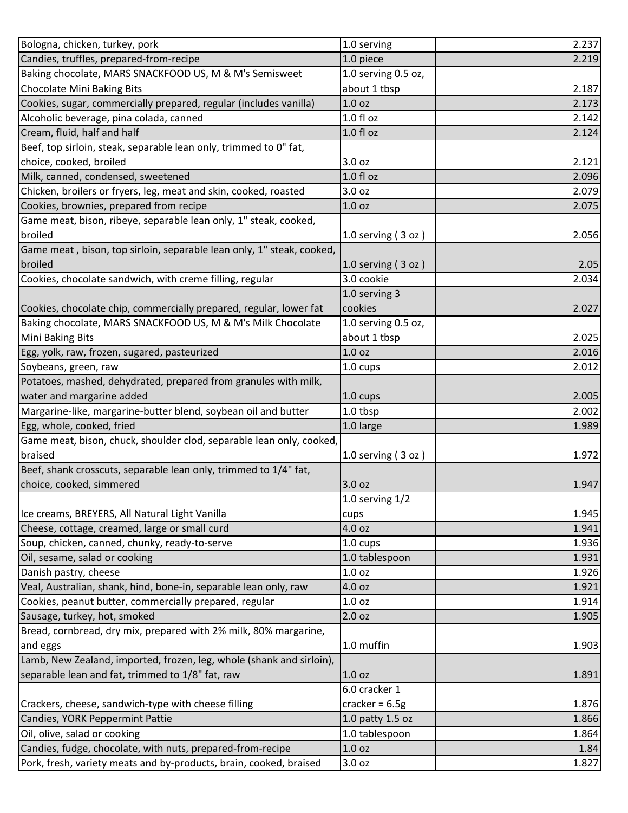| Bologna, chicken, turkey, pork                                        | 1.0 serving          | 2.237 |
|-----------------------------------------------------------------------|----------------------|-------|
| Candies, truffles, prepared-from-recipe                               | 1.0 piece            | 2.219 |
| Baking chocolate, MARS SNACKFOOD US, M & M's Semisweet                | 1.0 serving 0.5 oz,  |       |
| <b>Chocolate Mini Baking Bits</b>                                     | about 1 tbsp         | 2.187 |
| Cookies, sugar, commercially prepared, regular (includes vanilla)     | 1.0 <sub>oz</sub>    | 2.173 |
| Alcoholic beverage, pina colada, canned                               | 1.0 f1 oz            | 2.142 |
| Cream, fluid, half and half                                           | 1.0 fl oz            | 2.124 |
| Beef, top sirloin, steak, separable lean only, trimmed to 0" fat,     |                      |       |
| choice, cooked, broiled                                               | 3.0 oz               | 2.121 |
| Milk, canned, condensed, sweetened                                    | $1.0 f$ l oz         | 2.096 |
| Chicken, broilers or fryers, leg, meat and skin, cooked, roasted      | 3.0 oz               | 2.079 |
| Cookies, brownies, prepared from recipe                               | 1.0 <sub>oz</sub>    | 2.075 |
| Game meat, bison, ribeye, separable lean only, 1" steak, cooked,      |                      |       |
| broiled                                                               | 1.0 serving $(3 oz)$ | 2.056 |
| Game meat, bison, top sirloin, separable lean only, 1" steak, cooked, |                      |       |
| broiled                                                               | 1.0 serving $(3 oz)$ | 2.05  |
| Cookies, chocolate sandwich, with creme filling, regular              | 3.0 cookie           | 2.034 |
|                                                                       | 1.0 serving 3        |       |
| Cookies, chocolate chip, commercially prepared, regular, lower fat    | cookies              | 2.027 |
| Baking chocolate, MARS SNACKFOOD US, M & M's Milk Chocolate           | 1.0 serving 0.5 oz,  |       |
| Mini Baking Bits                                                      | about 1 tbsp         | 2.025 |
| Egg, yolk, raw, frozen, sugared, pasteurized                          | 1.0 <sub>oz</sub>    | 2.016 |
| Soybeans, green, raw                                                  | 1.0 cups             | 2.012 |
| Potatoes, mashed, dehydrated, prepared from granules with milk,       |                      |       |
| water and margarine added                                             | 1.0 cups             | 2.005 |
| Margarine-like, margarine-butter blend, soybean oil and butter        | 1.0 tbsp             | 2.002 |
| Egg, whole, cooked, fried                                             | 1.0 large            | 1.989 |
| Game meat, bison, chuck, shoulder clod, separable lean only, cooked,  |                      |       |
| braised                                                               | 1.0 serving $(3 oz)$ | 1.972 |
| Beef, shank crosscuts, separable lean only, trimmed to 1/4" fat,      |                      |       |
| choice, cooked, simmered                                              | 3.0 <sub>oz</sub>    | 1.947 |
|                                                                       | 1.0 serving $1/2$    |       |
| Ice creams, BREYERS, All Natural Light Vanilla                        | cups                 | 1.945 |
| Cheese, cottage, creamed, large or small curd                         | 4.0 oz               | 1.941 |
| Soup, chicken, canned, chunky, ready-to-serve                         | 1.0 cups             | 1.936 |
| Oil, sesame, salad or cooking                                         | 1.0 tablespoon       | 1.931 |
| Danish pastry, cheese                                                 | 1.0 <sub>oz</sub>    | 1.926 |
| Veal, Australian, shank, hind, bone-in, separable lean only, raw      | 4.0 oz               | 1.921 |
| Cookies, peanut butter, commercially prepared, regular                | 1.0 <sub>oz</sub>    | 1.914 |
| Sausage, turkey, hot, smoked                                          | 2.0 <sub>oz</sub>    | 1.905 |
| Bread, cornbread, dry mix, prepared with 2% milk, 80% margarine,      |                      |       |
| and eggs                                                              | 1.0 muffin           | 1.903 |
| Lamb, New Zealand, imported, frozen, leg, whole (shank and sirloin),  |                      |       |
| separable lean and fat, trimmed to 1/8" fat, raw                      | 1.0 <sub>oz</sub>    | 1.891 |
|                                                                       | 6.0 cracker 1        |       |
| Crackers, cheese, sandwich-type with cheese filling                   | cracker = $6.5g$     | 1.876 |
| Candies, YORK Peppermint Pattie                                       | 1.0 patty 1.5 oz     | 1.866 |
| Oil, olive, salad or cooking                                          | 1.0 tablespoon       | 1.864 |
| Candies, fudge, chocolate, with nuts, prepared-from-recipe            | 1.0 oz               | 1.84  |
| Pork, fresh, variety meats and by-products, brain, cooked, braised    | 3.0 oz               | 1.827 |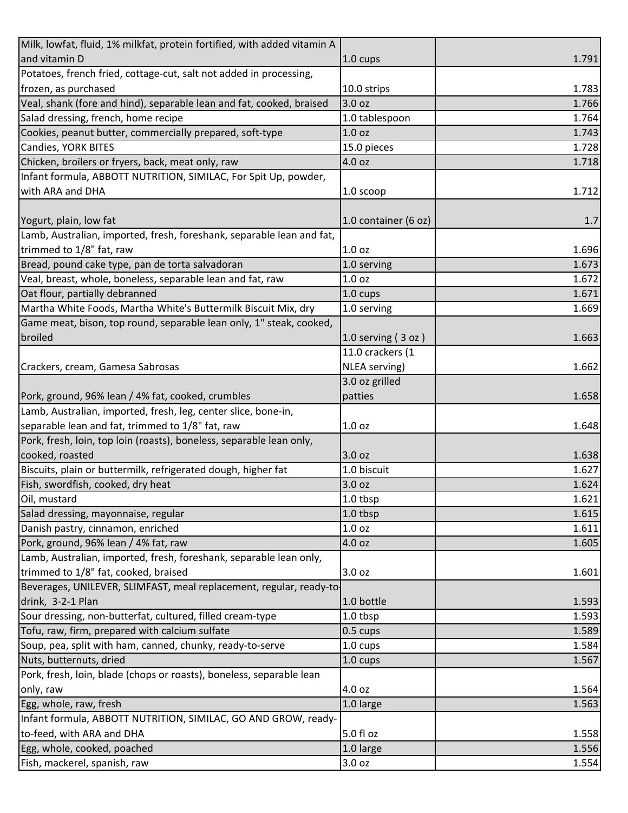| Milk, lowfat, fluid, 1% milkfat, protein fortified, with added vitamin A |                        |       |
|--------------------------------------------------------------------------|------------------------|-------|
| and vitamin D                                                            | $1.0 \text{ cups}$     | 1.791 |
| Potatoes, french fried, cottage-cut, salt not added in processing,       |                        |       |
| frozen, as purchased                                                     | 10.0 strips            | 1.783 |
| Veal, shank (fore and hind), separable lean and fat, cooked, braised     | 3.0 oz                 | 1.766 |
| Salad dressing, french, home recipe                                      | 1.0 tablespoon         | 1.764 |
| Cookies, peanut butter, commercially prepared, soft-type                 | 1.0 oz                 | 1.743 |
| Candies, YORK BITES                                                      | 15.0 pieces            | 1.728 |
| Chicken, broilers or fryers, back, meat only, raw                        | 4.0 oz                 | 1.718 |
| Infant formula, ABBOTT NUTRITION, SIMILAC, For Spit Up, powder,          |                        |       |
| with ARA and DHA                                                         | 1.0 scoop              | 1.712 |
|                                                                          |                        |       |
| Yogurt, plain, low fat                                                   | 1.0 container (6 oz)   | 1.7   |
| Lamb, Australian, imported, fresh, foreshank, separable lean and fat,    |                        |       |
| trimmed to 1/8" fat, raw                                                 | 1.0 <sub>oz</sub>      | 1.696 |
| Bread, pound cake type, pan de torta salvadoran                          | 1.0 serving            | 1.673 |
| Veal, breast, whole, boneless, separable lean and fat, raw               | 1.0 <sub>oz</sub>      | 1.672 |
| Oat flour, partially debranned                                           | 1.0 cups               | 1.671 |
| Martha White Foods, Martha White's Buttermilk Biscuit Mix, dry           | 1.0 serving            | 1.669 |
| Game meat, bison, top round, separable lean only, 1" steak, cooked,      |                        |       |
| broiled                                                                  | $1.0$ serving $(3$ oz) | 1.663 |
|                                                                          | 11.0 crackers (1       |       |
| Crackers, cream, Gamesa Sabrosas                                         | NLEA serving)          | 1.662 |
|                                                                          | 3.0 oz grilled         |       |
| Pork, ground, 96% lean / 4% fat, cooked, crumbles                        | patties                | 1.658 |
| Lamb, Australian, imported, fresh, leg, center slice, bone-in,           |                        |       |
| separable lean and fat, trimmed to 1/8" fat, raw                         | 1.0 <sub>oz</sub>      | 1.648 |
| Pork, fresh, loin, top loin (roasts), boneless, separable lean only,     |                        |       |
| cooked, roasted                                                          | 3.0 oz                 | 1.638 |
| Biscuits, plain or buttermilk, refrigerated dough, higher fat            | 1.0 biscuit            | 1.627 |
| Fish, swordfish, cooked, dry heat                                        | 3.0 oz                 | 1.624 |
| Oil, mustard                                                             | 1.0 tbsp               | 1.621 |
| Salad dressing, mayonnaise, regular                                      | 1.0 tbsp               | 1.615 |
| Danish pastry, cinnamon, enriched                                        | 1.0 oz                 | 1.611 |
| Pork, ground, 96% lean / 4% fat, raw                                     | 4.0 oz                 | 1.605 |
| Lamb, Australian, imported, fresh, foreshank, separable lean only,       |                        |       |
| trimmed to 1/8" fat, cooked, braised                                     | 3.0 oz                 | 1.601 |
| Beverages, UNILEVER, SLIMFAST, meal replacement, regular, ready-to-      |                        |       |
| drink, 3-2-1 Plan                                                        | 1.0 bottle             | 1.593 |
| Sour dressing, non-butterfat, cultured, filled cream-type                | 1.0 tbsp               | 1.593 |
| Tofu, raw, firm, prepared with calcium sulfate                           | $0.5 \text{ cups}$     | 1.589 |
| Soup, pea, split with ham, canned, chunky, ready-to-serve                | 1.0 cups               | 1.584 |
| Nuts, butternuts, dried                                                  | $1.0 \text{ cups}$     | 1.567 |
| Pork, fresh, loin, blade (chops or roasts), boneless, separable lean     |                        |       |
| only, raw                                                                | 4.0 oz                 | 1.564 |
| Egg, whole, raw, fresh                                                   | 1.0 large              | 1.563 |
| Infant formula, ABBOTT NUTRITION, SIMILAC, GO AND GROW, ready-           |                        |       |
| to-feed, with ARA and DHA                                                | 5.0 fl oz              | 1.558 |
| Egg, whole, cooked, poached                                              | 1.0 large              | 1.556 |
| Fish, mackerel, spanish, raw                                             | 3.0 oz                 | 1.554 |
|                                                                          |                        |       |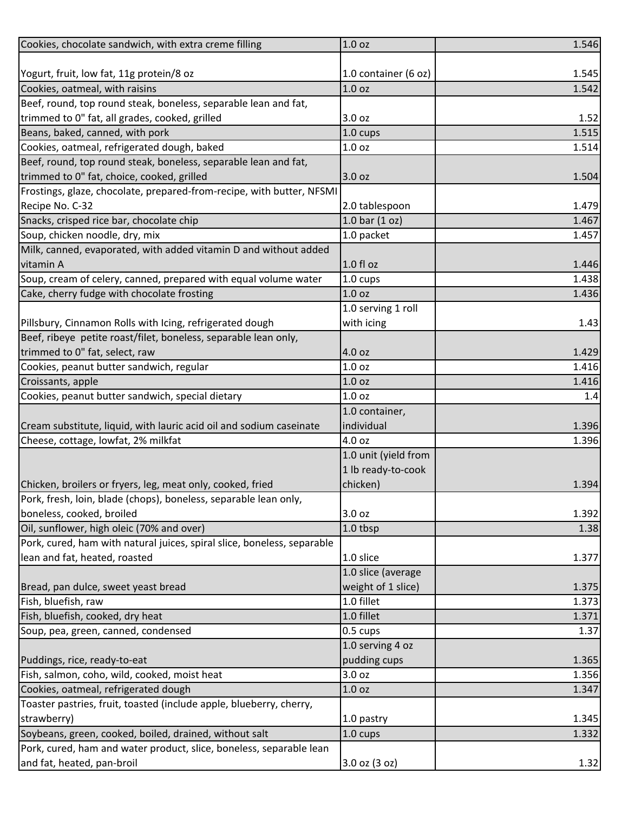| Cookies, chocolate sandwich, with extra creme filling                   | 1.0 <sub>oz</sub>    | 1.546 |
|-------------------------------------------------------------------------|----------------------|-------|
|                                                                         |                      |       |
| Yogurt, fruit, low fat, 11g protein/8 oz                                | 1.0 container (6 oz) | 1.545 |
| Cookies, oatmeal, with raisins                                          | 1.0 <sub>oz</sub>    | 1.542 |
| Beef, round, top round steak, boneless, separable lean and fat,         |                      |       |
| trimmed to 0" fat, all grades, cooked, grilled                          | 3.0 oz               | 1.52  |
| Beans, baked, canned, with pork                                         | 1.0 cups             | 1.515 |
| Cookies, oatmeal, refrigerated dough, baked                             | 1.0 <sub>oz</sub>    | 1.514 |
| Beef, round, top round steak, boneless, separable lean and fat,         |                      |       |
| trimmed to 0" fat, choice, cooked, grilled                              | 3.0 oz               | 1.504 |
| Frostings, glaze, chocolate, prepared-from-recipe, with butter, NFSMI   |                      |       |
| Recipe No. C-32                                                         | 2.0 tablespoon       | 1.479 |
| Snacks, crisped rice bar, chocolate chip                                | 1.0 bar $(1 oz)$     | 1.467 |
| Soup, chicken noodle, dry, mix                                          | 1.0 packet           | 1.457 |
| Milk, canned, evaporated, with added vitamin D and without added        |                      |       |
| vitamin A                                                               | $1.0 f$ l oz         | 1.446 |
| Soup, cream of celery, canned, prepared with equal volume water         | 1.0 cups             | 1.438 |
| Cake, cherry fudge with chocolate frosting                              | 1.0 <sub>oz</sub>    | 1.436 |
|                                                                         | 1.0 serving 1 roll   |       |
| Pillsbury, Cinnamon Rolls with Icing, refrigerated dough                | with icing           | 1.43  |
| Beef, ribeye petite roast/filet, boneless, separable lean only,         |                      |       |
| trimmed to 0" fat, select, raw                                          | 4.0 oz               | 1.429 |
| Cookies, peanut butter sandwich, regular                                | 1.0 <sub>oz</sub>    | 1.416 |
| Croissants, apple                                                       | 1.0 <sub>oz</sub>    | 1.416 |
| Cookies, peanut butter sandwich, special dietary                        | 1.0 <sub>oz</sub>    | 1.4   |
|                                                                         | 1.0 container,       |       |
| Cream substitute, liquid, with lauric acid oil and sodium caseinate     | individual           | 1.396 |
| Cheese, cottage, lowfat, 2% milkfat                                     | 4.0 oz               | 1.396 |
|                                                                         | 1.0 unit (yield from |       |
|                                                                         | 1 lb ready-to-cook   |       |
| Chicken, broilers or fryers, leg, meat only, cooked, fried              | chicken)             | 1.394 |
| Pork, fresh, loin, blade (chops), boneless, separable lean only,        |                      |       |
| boneless, cooked, broiled                                               | 3.0 oz               | 1.392 |
| Oil, sunflower, high oleic (70% and over)                               | 1.0 tbsp             | 1.38  |
| Pork, cured, ham with natural juices, spiral slice, boneless, separable |                      |       |
| lean and fat, heated, roasted                                           | 1.0 slice            | 1.377 |
|                                                                         | 1.0 slice (average   |       |
| Bread, pan dulce, sweet yeast bread                                     | weight of 1 slice)   | 1.375 |
| Fish, bluefish, raw                                                     | 1.0 fillet           | 1.373 |
| Fish, bluefish, cooked, dry heat                                        | 1.0 fillet           | 1.371 |
| Soup, pea, green, canned, condensed                                     | 0.5 cups             | 1.37  |
|                                                                         | 1.0 serving 4 oz     |       |
| Puddings, rice, ready-to-eat                                            | pudding cups         | 1.365 |
| Fish, salmon, coho, wild, cooked, moist heat                            | 3.0 oz               | 1.356 |
| Cookies, oatmeal, refrigerated dough                                    | 1.0 <sub>oz</sub>    | 1.347 |
| Toaster pastries, fruit, toasted (include apple, blueberry, cherry,     |                      |       |
| strawberry)                                                             | 1.0 pastry           | 1.345 |
| Soybeans, green, cooked, boiled, drained, without salt                  | 1.0 cups             | 1.332 |
| Pork, cured, ham and water product, slice, boneless, separable lean     |                      |       |
| and fat, heated, pan-broil                                              | 3.0 oz (3 oz)        | 1.32  |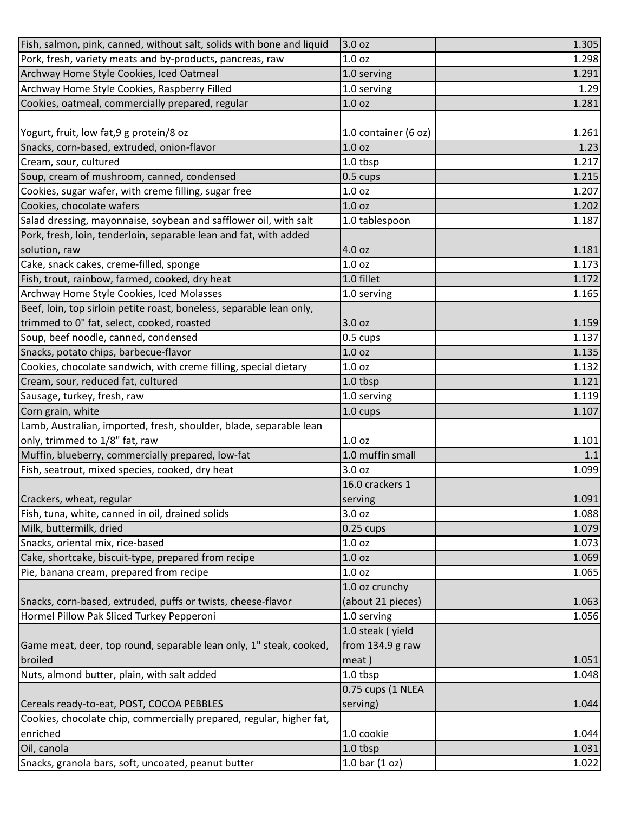| Fish, salmon, pink, canned, without salt, solids with bone and liquid | 3.0 oz               | 1.305 |
|-----------------------------------------------------------------------|----------------------|-------|
| Pork, fresh, variety meats and by-products, pancreas, raw             | 1.0 <sub>oz</sub>    | 1.298 |
| Archway Home Style Cookies, Iced Oatmeal                              | 1.0 serving          | 1.291 |
| Archway Home Style Cookies, Raspberry Filled                          | 1.0 serving          | 1.29  |
| Cookies, oatmeal, commercially prepared, regular                      | 1.0 <sub>oz</sub>    | 1.281 |
|                                                                       |                      |       |
| Yogurt, fruit, low fat, 9 g protein/8 oz                              | 1.0 container (6 oz) | 1.261 |
| Snacks, corn-based, extruded, onion-flavor                            | 1.0 <sub>oz</sub>    | 1.23  |
| Cream, sour, cultured                                                 | 1.0 tbsp             | 1.217 |
| Soup, cream of mushroom, canned, condensed                            | 0.5 cups             | 1.215 |
| Cookies, sugar wafer, with creme filling, sugar free                  | 1.0 <sub>oz</sub>    | 1.207 |
| Cookies, chocolate wafers                                             | 1.0 <sub>oz</sub>    | 1.202 |
| Salad dressing, mayonnaise, soybean and safflower oil, with salt      | 1.0 tablespoon       | 1.187 |
| Pork, fresh, loin, tenderloin, separable lean and fat, with added     |                      |       |
| solution, raw                                                         | 4.0 oz               | 1.181 |
| Cake, snack cakes, creme-filled, sponge                               | 1.0 <sub>oz</sub>    | 1.173 |
| Fish, trout, rainbow, farmed, cooked, dry heat                        | 1.0 fillet           | 1.172 |
| Archway Home Style Cookies, Iced Molasses                             | 1.0 serving          | 1.165 |
| Beef, loin, top sirloin petite roast, boneless, separable lean only,  |                      |       |
| trimmed to 0" fat, select, cooked, roasted                            | 3.0 oz               | 1.159 |
| Soup, beef noodle, canned, condensed                                  | 0.5 cups             | 1.137 |
| Snacks, potato chips, barbecue-flavor                                 | 1.0 <sub>oz</sub>    | 1.135 |
| Cookies, chocolate sandwich, with creme filling, special dietary      | 1.0 <sub>oz</sub>    | 1.132 |
| Cream, sour, reduced fat, cultured                                    | 1.0 tbsp             | 1.121 |
| Sausage, turkey, fresh, raw                                           | 1.0 serving          | 1.119 |
| Corn grain, white                                                     | 1.0 cups             | 1.107 |
| Lamb, Australian, imported, fresh, shoulder, blade, separable lean    |                      |       |
| only, trimmed to 1/8" fat, raw                                        | 1.0 <sub>oz</sub>    | 1.101 |
| Muffin, blueberry, commercially prepared, low-fat                     | 1.0 muffin small     | 1.1   |
| Fish, seatrout, mixed species, cooked, dry heat                       | 3.0 oz               | 1.099 |
|                                                                       | 16.0 crackers 1      |       |
| Crackers, wheat, regular                                              | serving              | 1.091 |
| Fish, tuna, white, canned in oil, drained solids                      | 3.0 oz               | 1.088 |
| Milk, buttermilk, dried                                               | $0.25$ cups          | 1.079 |
| Snacks, oriental mix, rice-based                                      | 1.0 <sub>oz</sub>    | 1.073 |
| Cake, shortcake, biscuit-type, prepared from recipe                   | 1.0 <sub>oz</sub>    | 1.069 |
| Pie, banana cream, prepared from recipe                               | 1.0 <sub>oz</sub>    | 1.065 |
|                                                                       | 1.0 oz crunchy       |       |
| Snacks, corn-based, extruded, puffs or twists, cheese-flavor          | (about 21 pieces)    | 1.063 |
| Hormel Pillow Pak Sliced Turkey Pepperoni                             | 1.0 serving          | 1.056 |
|                                                                       | 1.0 steak (yield     |       |
| Game meat, deer, top round, separable lean only, 1" steak, cooked,    | from 134.9 g raw     |       |
| broiled                                                               | meat)                | 1.051 |
| Nuts, almond butter, plain, with salt added                           | 1.0 tbsp             | 1.048 |
|                                                                       | 0.75 cups (1 NLEA    |       |
| Cereals ready-to-eat, POST, COCOA PEBBLES                             | serving)             | 1.044 |
| Cookies, chocolate chip, commercially prepared, regular, higher fat,  |                      |       |
| enriched                                                              | 1.0 cookie           | 1.044 |
| Oil, canola                                                           | 1.0 tbsp             | 1.031 |
| Snacks, granola bars, soft, uncoated, peanut butter                   | 1.0 bar $(1 oz)$     | 1.022 |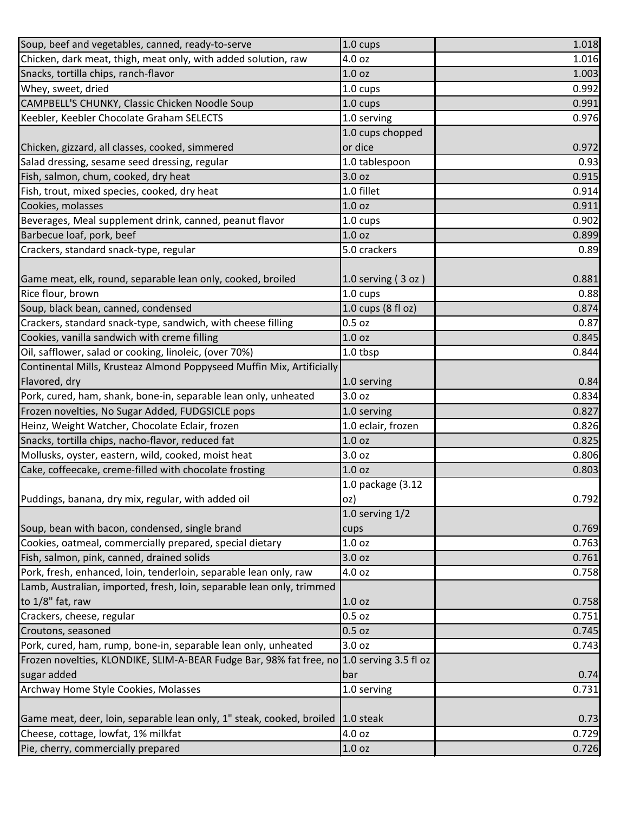| Soup, beef and vegetables, canned, ready-to-serve                                         | 1.0 cups             | 1.018 |
|-------------------------------------------------------------------------------------------|----------------------|-------|
| Chicken, dark meat, thigh, meat only, with added solution, raw                            | 4.0 oz               | 1.016 |
| Snacks, tortilla chips, ranch-flavor                                                      | 1.0 <sub>oz</sub>    | 1.003 |
| Whey, sweet, dried                                                                        | 1.0 cups             | 0.992 |
| CAMPBELL'S CHUNKY, Classic Chicken Noodle Soup                                            | 1.0 cups             | 0.991 |
| Keebler, Keebler Chocolate Graham SELECTS                                                 | 1.0 serving          | 0.976 |
|                                                                                           | 1.0 cups chopped     |       |
| Chicken, gizzard, all classes, cooked, simmered                                           | or dice              | 0.972 |
| Salad dressing, sesame seed dressing, regular                                             | 1.0 tablespoon       | 0.93  |
| Fish, salmon, chum, cooked, dry heat                                                      | 3.0 oz               | 0.915 |
| Fish, trout, mixed species, cooked, dry heat                                              | 1.0 fillet           | 0.914 |
| Cookies, molasses                                                                         | 1.0 <sub>oz</sub>    | 0.911 |
| Beverages, Meal supplement drink, canned, peanut flavor                                   | 1.0 cups             | 0.902 |
| Barbecue loaf, pork, beef                                                                 | 1.0 <sub>oz</sub>    | 0.899 |
| Crackers, standard snack-type, regular                                                    | 5.0 crackers         | 0.89  |
|                                                                                           |                      |       |
| Game meat, elk, round, separable lean only, cooked, broiled                               | 1.0 serving $(3 oz)$ | 0.881 |
| Rice flour, brown                                                                         | 1.0 cups             | 0.88  |
| Soup, black bean, canned, condensed                                                       | 1.0 cups (8 fl oz)   | 0.874 |
| Crackers, standard snack-type, sandwich, with cheese filling                              | $0.5$ oz             | 0.87  |
| Cookies, vanilla sandwich with creme filling                                              | 1.0 <sub>oz</sub>    | 0.845 |
| Oil, safflower, salad or cooking, linoleic, (over 70%)                                    | 1.0 tbsp             | 0.844 |
| Continental Mills, Krusteaz Almond Poppyseed Muffin Mix, Artificially                     |                      |       |
| Flavored, dry                                                                             | 1.0 serving          | 0.84  |
| Pork, cured, ham, shank, bone-in, separable lean only, unheated                           | 3.0 oz               | 0.834 |
| Frozen novelties, No Sugar Added, FUDGSICLE pops                                          | 1.0 serving          | 0.827 |
| Heinz, Weight Watcher, Chocolate Eclair, frozen                                           | 1.0 eclair, frozen   | 0.826 |
| Snacks, tortilla chips, nacho-flavor, reduced fat                                         | 1.0 <sub>oz</sub>    | 0.825 |
| Mollusks, oyster, eastern, wild, cooked, moist heat                                       | 3.0 oz               | 0.806 |
| Cake, coffeecake, creme-filled with chocolate frosting                                    | 1.0 <sub>oz</sub>    | 0.803 |
|                                                                                           | 1.0 package (3.12    |       |
| Puddings, banana, dry mix, regular, with added oil                                        | oz)                  | 0.792 |
|                                                                                           | 1.0 serving $1/2$    |       |
| Soup, bean with bacon, condensed, single brand                                            | cups                 | 0.769 |
| Cookies, oatmeal, commercially prepared, special dietary                                  | 1.0 <sub>oz</sub>    | 0.763 |
| Fish, salmon, pink, canned, drained solids                                                | 3.0 oz               | 0.761 |
| Pork, fresh, enhanced, loin, tenderloin, separable lean only, raw                         | 4.0 oz               | 0.758 |
| Lamb, Australian, imported, fresh, loin, separable lean only, trimmed                     |                      |       |
| to 1/8" fat, raw                                                                          | 1.0 <sub>oz</sub>    | 0.758 |
| Crackers, cheese, regular                                                                 | $0.5$ oz             | 0.751 |
| Croutons, seasoned                                                                        | 0.5 oz               | 0.745 |
| Pork, cured, ham, rump, bone-in, separable lean only, unheated                            | 3.0 oz               | 0.743 |
| Frozen novelties, KLONDIKE, SLIM-A-BEAR Fudge Bar, 98% fat free, no 1.0 serving 3.5 fl oz |                      |       |
| sugar added                                                                               | bar                  | 0.74  |
| Archway Home Style Cookies, Molasses                                                      | 1.0 serving          | 0.731 |
|                                                                                           |                      |       |
| Game meat, deer, loin, separable lean only, 1" steak, cooked, broiled                     | $1.0$ steak          | 0.73  |
| Cheese, cottage, lowfat, 1% milkfat                                                       | 4.0 oz               | 0.729 |
| Pie, cherry, commercially prepared                                                        | 1.0 <sub>oz</sub>    | 0.726 |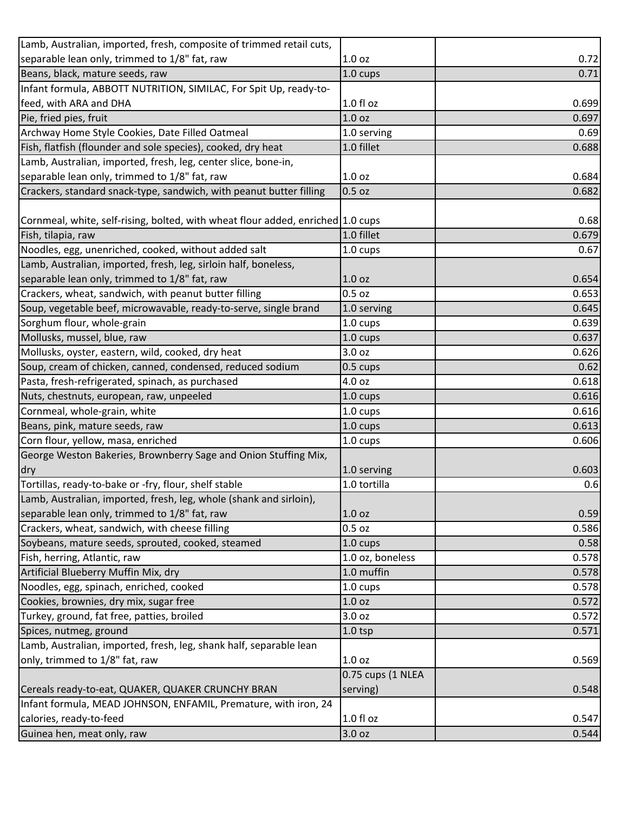| Lamb, Australian, imported, fresh, composite of trimmed retail cuts,            |                    |       |
|---------------------------------------------------------------------------------|--------------------|-------|
| separable lean only, trimmed to 1/8" fat, raw                                   | 1.0 <sub>oz</sub>  | 0.72  |
| Beans, black, mature seeds, raw                                                 | 1.0 cups           | 0.71  |
| Infant formula, ABBOTT NUTRITION, SIMILAC, For Spit Up, ready-to-               |                    |       |
| feed, with ARA and DHA                                                          | $1.0f$ l oz        | 0.699 |
| Pie, fried pies, fruit                                                          | 1.0 <sub>oz</sub>  | 0.697 |
| Archway Home Style Cookies, Date Filled Oatmeal                                 | 1.0 serving        | 0.69  |
| Fish, flatfish (flounder and sole species), cooked, dry heat                    | 1.0 fillet         | 0.688 |
| Lamb, Australian, imported, fresh, leg, center slice, bone-in,                  |                    |       |
| separable lean only, trimmed to 1/8" fat, raw                                   | 1.0 <sub>oz</sub>  | 0.684 |
| Crackers, standard snack-type, sandwich, with peanut butter filling             | 0.5 oz             | 0.682 |
|                                                                                 |                    |       |
| Cornmeal, white, self-rising, bolted, with wheat flour added, enriched 1.0 cups |                    | 0.68  |
| Fish, tilapia, raw                                                              | 1.0 fillet         | 0.679 |
| Noodles, egg, unenriched, cooked, without added salt                            | 1.0 cups           | 0.67  |
| Lamb, Australian, imported, fresh, leg, sirloin half, boneless,                 |                    |       |
| separable lean only, trimmed to 1/8" fat, raw                                   | 1.0 <sub>oz</sub>  | 0.654 |
| Crackers, wheat, sandwich, with peanut butter filling                           | $0.5$ oz           | 0.653 |
| Soup, vegetable beef, microwavable, ready-to-serve, single brand                | 1.0 serving        | 0.645 |
| Sorghum flour, whole-grain                                                      | 1.0 cups           | 0.639 |
| Mollusks, mussel, blue, raw                                                     | 1.0 cups           | 0.637 |
| Mollusks, oyster, eastern, wild, cooked, dry heat                               | 3.0 oz             | 0.626 |
| Soup, cream of chicken, canned, condensed, reduced sodium                       | $0.5 \text{ cups}$ | 0.62  |
| Pasta, fresh-refrigerated, spinach, as purchased                                | 4.0 oz             | 0.618 |
| Nuts, chestnuts, european, raw, unpeeled                                        | 1.0 cups           | 0.616 |
| Cornmeal, whole-grain, white                                                    | 1.0 cups           | 0.616 |
| Beans, pink, mature seeds, raw                                                  | 1.0 cups           | 0.613 |
| Corn flour, yellow, masa, enriched                                              | 1.0 cups           | 0.606 |
| George Weston Bakeries, Brownberry Sage and Onion Stuffing Mix,                 |                    |       |
| dry                                                                             | 1.0 serving        | 0.603 |
| Tortillas, ready-to-bake or -fry, flour, shelf stable                           | 1.0 tortilla       | 0.6   |
| Lamb, Australian, imported, fresh, leg, whole (shank and sirloin),              |                    |       |
| separable lean only, trimmed to 1/8" fat, raw                                   | 1.0 <sub>oz</sub>  | 0.59  |
| Crackers, wheat, sandwich, with cheese filling                                  | 0.5 <sub>oz</sub>  | 0.586 |
| Soybeans, mature seeds, sprouted, cooked, steamed                               | $1.0 \text{ cups}$ | 0.58  |
| Fish, herring, Atlantic, raw                                                    | 1.0 oz, boneless   | 0.578 |
| Artificial Blueberry Muffin Mix, dry                                            | 1.0 muffin         | 0.578 |
| Noodles, egg, spinach, enriched, cooked                                         | 1.0 cups           | 0.578 |
| Cookies, brownies, dry mix, sugar free                                          | 1.0 oz             | 0.572 |
| Turkey, ground, fat free, patties, broiled                                      | 3.0 oz             | 0.572 |
| Spices, nutmeg, ground                                                          | 1.0 <sub>tsp</sub> | 0.571 |
| Lamb, Australian, imported, fresh, leg, shank half, separable lean              |                    |       |
| only, trimmed to 1/8" fat, raw                                                  | 1.0 <sub>oz</sub>  | 0.569 |
|                                                                                 | 0.75 cups (1 NLEA  |       |
| Cereals ready-to-eat, QUAKER, QUAKER CRUNCHY BRAN                               | serving)           | 0.548 |
| Infant formula, MEAD JOHNSON, ENFAMIL, Premature, with iron, 24                 |                    |       |
| calories, ready-to-feed                                                         | $1.0 f$ l oz       | 0.547 |
| Guinea hen, meat only, raw                                                      | 3.0 oz             | 0.544 |
|                                                                                 |                    |       |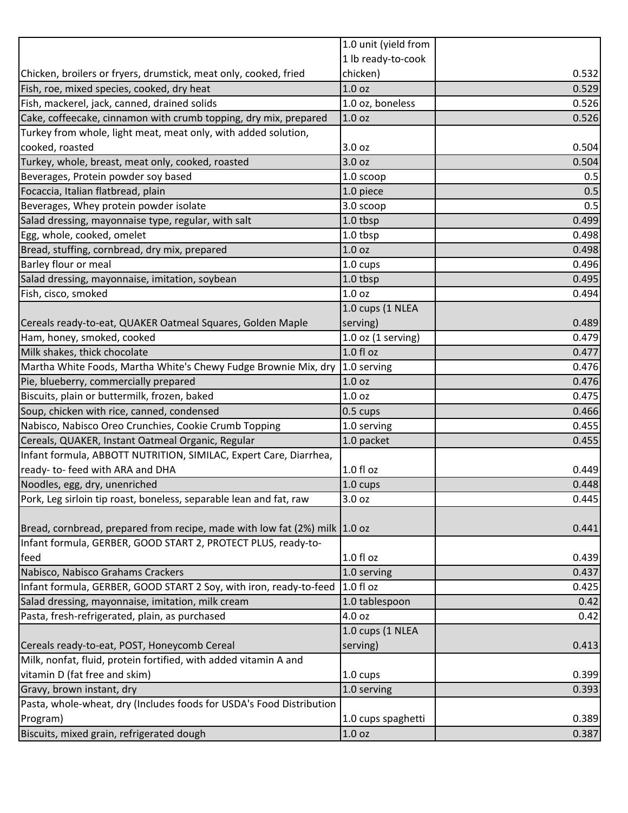|                                                                            | 1.0 unit (yield from   |       |
|----------------------------------------------------------------------------|------------------------|-------|
|                                                                            | 1 lb ready-to-cook     |       |
| Chicken, broilers or fryers, drumstick, meat only, cooked, fried           | chicken)               | 0.532 |
| Fish, roe, mixed species, cooked, dry heat                                 | 1.0 <sub>oz</sub>      | 0.529 |
| Fish, mackerel, jack, canned, drained solids                               | 1.0 oz, boneless       | 0.526 |
| Cake, coffeecake, cinnamon with crumb topping, dry mix, prepared           | 1.0 <sub>oz</sub>      | 0.526 |
| Turkey from whole, light meat, meat only, with added solution,             |                        |       |
| cooked, roasted                                                            | 3.0 oz                 | 0.504 |
| Turkey, whole, breast, meat only, cooked, roasted                          | 3.0 oz                 | 0.504 |
| Beverages, Protein powder soy based                                        | 1.0 scoop              | 0.5   |
| Focaccia, Italian flatbread, plain                                         | 1.0 piece              | 0.5   |
| Beverages, Whey protein powder isolate                                     | 3.0 scoop              | 0.5   |
| Salad dressing, mayonnaise type, regular, with salt                        | 1.0 tbsp               | 0.499 |
| Egg, whole, cooked, omelet                                                 | 1.0 tbsp               | 0.498 |
| Bread, stuffing, cornbread, dry mix, prepared                              | 1.0 <sub>oz</sub>      | 0.498 |
| Barley flour or meal                                                       | 1.0 cups               | 0.496 |
| Salad dressing, mayonnaise, imitation, soybean                             | 1.0 tbsp               | 0.495 |
| Fish, cisco, smoked                                                        | 1.0 <sub>oz</sub>      | 0.494 |
|                                                                            | 1.0 cups (1 NLEA       |       |
| Cereals ready-to-eat, QUAKER Oatmeal Squares, Golden Maple                 | serving)               | 0.489 |
| Ham, honey, smoked, cooked                                                 | $1.0$ oz $(1$ serving) | 0.479 |
| Milk shakes, thick chocolate                                               | 1.0 fl oz              | 0.477 |
| Martha White Foods, Martha White's Chewy Fudge Brownie Mix, dry            | 1.0 serving            | 0.476 |
| Pie, blueberry, commercially prepared                                      | 1.0 <sub>oz</sub>      | 0.476 |
| Biscuits, plain or buttermilk, frozen, baked                               | 1.0 <sub>oz</sub>      | 0.475 |
| Soup, chicken with rice, canned, condensed                                 | $0.5 \text{ cups}$     | 0.466 |
| Nabisco, Nabisco Oreo Crunchies, Cookie Crumb Topping                      | 1.0 serving            | 0.455 |
| Cereals, QUAKER, Instant Oatmeal Organic, Regular                          | 1.0 packet             | 0.455 |
| Infant formula, ABBOTT NUTRITION, SIMILAC, Expert Care, Diarrhea,          |                        |       |
| ready- to- feed with ARA and DHA                                           | 1.0 f1 oz              | 0.449 |
| Noodles, egg, dry, unenriched                                              | 1.0 cups               | 0.448 |
| Pork, Leg sirloin tip roast, boneless, separable lean and fat, raw         | 3.0 <sub>oz</sub>      | 0.445 |
|                                                                            |                        |       |
| Bread, cornbread, prepared from recipe, made with low fat (2%) milk 1.0 oz |                        | 0.441 |
| Infant formula, GERBER, GOOD START 2, PROTECT PLUS, ready-to-              |                        |       |
| feed                                                                       | $1.0f$ l oz            | 0.439 |
| Nabisco, Nabisco Grahams Crackers                                          | 1.0 serving            | 0.437 |
| Infant formula, GERBER, GOOD START 2 Soy, with iron, ready-to-feed         | 1.0 f1 oz              | 0.425 |
| Salad dressing, mayonnaise, imitation, milk cream                          | 1.0 tablespoon         | 0.42  |
| Pasta, fresh-refrigerated, plain, as purchased                             | 4.0 oz                 | 0.42  |
|                                                                            | 1.0 cups (1 NLEA       |       |
| Cereals ready-to-eat, POST, Honeycomb Cereal                               | serving)               | 0.413 |
| Milk, nonfat, fluid, protein fortified, with added vitamin A and           |                        |       |
| vitamin D (fat free and skim)                                              | 1.0 cups               | 0.399 |
| Gravy, brown instant, dry                                                  | 1.0 serving            | 0.393 |
| Pasta, whole-wheat, dry (Includes foods for USDA's Food Distribution       |                        |       |
| Program)                                                                   | 1.0 cups spaghetti     | 0.389 |
| Biscuits, mixed grain, refrigerated dough                                  | 1.0 <sub>oz</sub>      | 0.387 |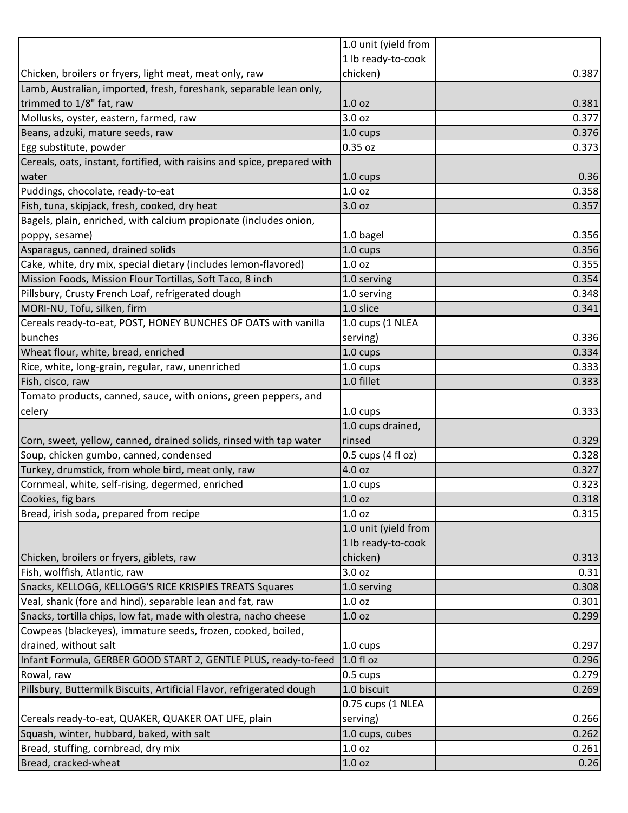|                                                                          | 1.0 unit (yield from |       |
|--------------------------------------------------------------------------|----------------------|-------|
|                                                                          | 1 lb ready-to-cook   |       |
| Chicken, broilers or fryers, light meat, meat only, raw                  | chicken)             | 0.387 |
| Lamb, Australian, imported, fresh, foreshank, separable lean only,       |                      |       |
| trimmed to 1/8" fat, raw                                                 | 1.0 <sub>oz</sub>    | 0.381 |
| Mollusks, oyster, eastern, farmed, raw                                   | 3.0 oz               | 0.377 |
| Beans, adzuki, mature seeds, raw                                         | 1.0 cups             | 0.376 |
| Egg substitute, powder                                                   | 0.35 oz              | 0.373 |
| Cereals, oats, instant, fortified, with raisins and spice, prepared with |                      |       |
| water                                                                    | 1.0 cups             | 0.36  |
| Puddings, chocolate, ready-to-eat                                        | 1.0 <sub>oz</sub>    | 0.358 |
| Fish, tuna, skipjack, fresh, cooked, dry heat                            | 3.0 oz               | 0.357 |
| Bagels, plain, enriched, with calcium propionate (includes onion,        |                      |       |
| poppy, sesame)                                                           | 1.0 bagel            | 0.356 |
| Asparagus, canned, drained solids                                        | 1.0 cups             | 0.356 |
| Cake, white, dry mix, special dietary (includes lemon-flavored)          | 1.0 <sub>oz</sub>    | 0.355 |
| Mission Foods, Mission Flour Tortillas, Soft Taco, 8 inch                | 1.0 serving          | 0.354 |
| Pillsbury, Crusty French Loaf, refrigerated dough                        | 1.0 serving          | 0.348 |
| MORI-NU, Tofu, silken, firm                                              | 1.0 slice            | 0.341 |
| Cereals ready-to-eat, POST, HONEY BUNCHES OF OATS with vanilla           | 1.0 cups (1 NLEA     |       |
| bunches                                                                  | serving)             | 0.336 |
| Wheat flour, white, bread, enriched                                      | 1.0 cups             | 0.334 |
| Rice, white, long-grain, regular, raw, unenriched                        | 1.0 cups             | 0.333 |
| Fish, cisco, raw                                                         | 1.0 fillet           | 0.333 |
| Tomato products, canned, sauce, with onions, green peppers, and          |                      |       |
| celery                                                                   | 1.0 cups             | 0.333 |
|                                                                          | 1.0 cups drained,    |       |
| Corn, sweet, yellow, canned, drained solids, rinsed with tap water       | rinsed               | 0.329 |
| Soup, chicken gumbo, canned, condensed                                   | 0.5 cups (4 fl oz)   | 0.328 |
| Turkey, drumstick, from whole bird, meat only, raw                       | 4.0 oz               | 0.327 |
| Cornmeal, white, self-rising, degermed, enriched                         | 1.0 cups             | 0.323 |
| Cookies, fig bars                                                        | 1.0 <sub>oz</sub>    | 0.318 |
| Bread, irish soda, prepared from recipe                                  | 1.0 <sub>oz</sub>    | 0.315 |
|                                                                          | 1.0 unit (yield from |       |
|                                                                          | 1 lb ready-to-cook   |       |
| Chicken, broilers or fryers, giblets, raw                                | chicken)             | 0.313 |
| Fish, wolffish, Atlantic, raw                                            | 3.0 oz               | 0.31  |
| Snacks, KELLOGG, KELLOGG'S RICE KRISPIES TREATS Squares                  | 1.0 serving          | 0.308 |
| Veal, shank (fore and hind), separable lean and fat, raw                 | 1.0 <sub>oz</sub>    | 0.301 |
| Snacks, tortilla chips, low fat, made with olestra, nacho cheese         | 1.0 <sub>oz</sub>    | 0.299 |
| Cowpeas (blackeyes), immature seeds, frozen, cooked, boiled,             |                      |       |
| drained, without salt                                                    | 1.0 cups             | 0.297 |
| Infant Formula, GERBER GOOD START 2, GENTLE PLUS, ready-to-feed          | $1.0 f$ l oz         | 0.296 |
| Rowal, raw                                                               | 0.5 cups             | 0.279 |
| Pillsbury, Buttermilk Biscuits, Artificial Flavor, refrigerated dough    | 1.0 biscuit          | 0.269 |
|                                                                          | 0.75 cups (1 NLEA    |       |
| Cereals ready-to-eat, QUAKER, QUAKER OAT LIFE, plain                     | serving)             | 0.266 |
| Squash, winter, hubbard, baked, with salt                                | 1.0 cups, cubes      | 0.262 |
| Bread, stuffing, cornbread, dry mix                                      | 1.0 <sub>oz</sub>    | 0.261 |
| Bread, cracked-wheat                                                     | 1.0 <sub>oz</sub>    | 0.26  |
|                                                                          |                      |       |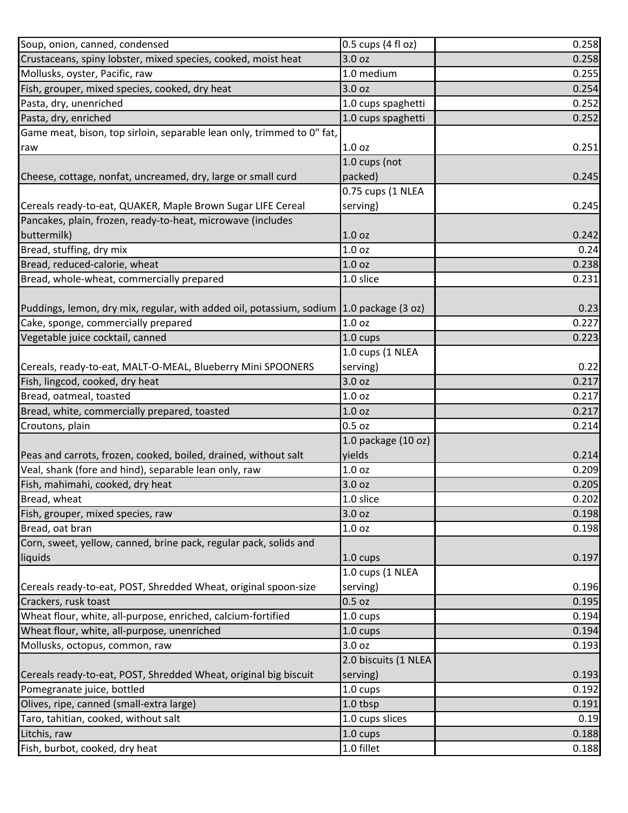| Soup, onion, canned, condensed                                                          | 0.5 cups (4 fl oz)   | 0.258 |
|-----------------------------------------------------------------------------------------|----------------------|-------|
| Crustaceans, spiny lobster, mixed species, cooked, moist heat                           | 3.0 oz               | 0.258 |
| Mollusks, oyster, Pacific, raw                                                          | 1.0 medium           | 0.255 |
| Fish, grouper, mixed species, cooked, dry heat                                          | 3.0 <sub>oz</sub>    | 0.254 |
| Pasta, dry, unenriched                                                                  | 1.0 cups spaghetti   | 0.252 |
| Pasta, dry, enriched                                                                    | 1.0 cups spaghetti   | 0.252 |
| Game meat, bison, top sirloin, separable lean only, trimmed to 0" fat,                  |                      |       |
| raw                                                                                     | 1.0 <sub>oz</sub>    | 0.251 |
|                                                                                         | 1.0 cups (not        |       |
| Cheese, cottage, nonfat, uncreamed, dry, large or small curd                            | packed)              | 0.245 |
|                                                                                         | 0.75 cups (1 NLEA    |       |
| Cereals ready-to-eat, QUAKER, Maple Brown Sugar LIFE Cereal                             | serving)             | 0.245 |
| Pancakes, plain, frozen, ready-to-heat, microwave (includes                             |                      |       |
| buttermilk)                                                                             | 1.0 <sub>oz</sub>    | 0.242 |
| Bread, stuffing, dry mix                                                                | 1.0 oz               | 0.24  |
| Bread, reduced-calorie, wheat                                                           | 1.0 <sub>oz</sub>    | 0.238 |
| Bread, whole-wheat, commercially prepared                                               | 1.0 slice            | 0.231 |
|                                                                                         |                      |       |
| Puddings, lemon, dry mix, regular, with added oil, potassium, sodium 1.0 package (3 oz) |                      | 0.23  |
| Cake, sponge, commercially prepared                                                     | 1.0 <sub>oz</sub>    | 0.227 |
| Vegetable juice cocktail, canned                                                        | 1.0 cups             | 0.223 |
|                                                                                         | 1.0 cups (1 NLEA     |       |
| Cereals, ready-to-eat, MALT-O-MEAL, Blueberry Mini SPOONERS                             | serving)             | 0.22  |
| Fish, lingcod, cooked, dry heat                                                         | 3.0 oz               | 0.217 |
| Bread, oatmeal, toasted                                                                 | 1.0 <sub>oz</sub>    | 0.217 |
| Bread, white, commercially prepared, toasted                                            | 1.0 <sub>oz</sub>    | 0.217 |
| Croutons, plain                                                                         | 0.5 <sub>oz</sub>    | 0.214 |
|                                                                                         | 1.0 package (10 oz)  |       |
| Peas and carrots, frozen, cooked, boiled, drained, without salt                         | yields               | 0.214 |
| Veal, shank (fore and hind), separable lean only, raw                                   | 1.0 <sub>oz</sub>    | 0.209 |
| Fish, mahimahi, cooked, dry heat                                                        | 3.0 oz               | 0.205 |
| Bread, wheat                                                                            | 1.0 slice            | 0.202 |
| Fish, grouper, mixed species, raw                                                       | 3.0 <sub>oz</sub>    | 0.198 |
| Bread, oat bran                                                                         | 1.0 <sub>oz</sub>    | 0.198 |
| Corn, sweet, yellow, canned, brine pack, regular pack, solids and                       |                      |       |
| liquids                                                                                 | 1.0 cups             | 0.197 |
|                                                                                         | 1.0 cups (1 NLEA     |       |
| Cereals ready-to-eat, POST, Shredded Wheat, original spoon-size                         | serving)             | 0.196 |
| Crackers, rusk toast                                                                    | $0.5$ oz             | 0.195 |
| Wheat flour, white, all-purpose, enriched, calcium-fortified                            | 1.0 cups             | 0.194 |
| Wheat flour, white, all-purpose, unenriched                                             | $1.0 \text{ cups}$   | 0.194 |
| Mollusks, octopus, common, raw                                                          | 3.0 oz               | 0.193 |
|                                                                                         | 2.0 biscuits (1 NLEA |       |
| Cereals ready-to-eat, POST, Shredded Wheat, original big biscuit                        | serving)             | 0.193 |
| Pomegranate juice, bottled                                                              | 1.0 cups             | 0.192 |
| Olives, ripe, canned (small-extra large)                                                | 1.0 tbsp             | 0.191 |
| Taro, tahitian, cooked, without salt                                                    | 1.0 cups slices      | 0.19  |
| Litchis, raw                                                                            | 1.0 cups             | 0.188 |
| Fish, burbot, cooked, dry heat                                                          | 1.0 fillet           | 0.188 |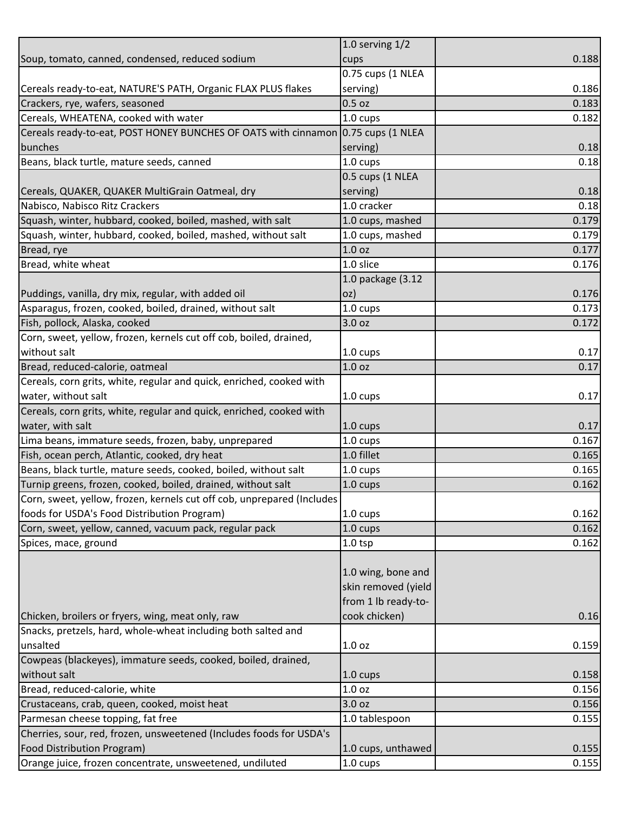|                                                                                  | 1.0 serving $1/2$   |       |
|----------------------------------------------------------------------------------|---------------------|-------|
| Soup, tomato, canned, condensed, reduced sodium                                  | cups                | 0.188 |
|                                                                                  | 0.75 cups (1 NLEA   |       |
| Cereals ready-to-eat, NATURE'S PATH, Organic FLAX PLUS flakes                    | serving)            | 0.186 |
| Crackers, rye, wafers, seasoned                                                  | $0.5$ oz            | 0.183 |
| Cereals, WHEATENA, cooked with water                                             | 1.0 cups            | 0.182 |
| Cereals ready-to-eat, POST HONEY BUNCHES OF OATS with cinnamon 0.75 cups (1 NLEA |                     |       |
| bunches                                                                          | serving)            | 0.18  |
| Beans, black turtle, mature seeds, canned                                        | 1.0 cups            | 0.18  |
|                                                                                  | 0.5 cups (1 NLEA    |       |
| Cereals, QUAKER, QUAKER MultiGrain Oatmeal, dry                                  | serving)            | 0.18  |
| Nabisco, Nabisco Ritz Crackers                                                   | 1.0 cracker         | 0.18  |
| Squash, winter, hubbard, cooked, boiled, mashed, with salt                       | 1.0 cups, mashed    | 0.179 |
| Squash, winter, hubbard, cooked, boiled, mashed, without salt                    | 1.0 cups, mashed    | 0.179 |
| Bread, rye                                                                       | 1.0 <sub>oz</sub>   | 0.177 |
| Bread, white wheat                                                               | 1.0 slice           | 0.176 |
|                                                                                  | 1.0 package (3.12   |       |
| Puddings, vanilla, dry mix, regular, with added oil                              | oz)                 | 0.176 |
| Asparagus, frozen, cooked, boiled, drained, without salt                         | 1.0 cups            | 0.173 |
| Fish, pollock, Alaska, cooked                                                    | 3.0 oz              | 0.172 |
| Corn, sweet, yellow, frozen, kernels cut off cob, boiled, drained,               |                     |       |
| without salt                                                                     | 1.0 cups            | 0.17  |
| Bread, reduced-calorie, oatmeal                                                  | 1.0 <sub>oz</sub>   | 0.17  |
| Cereals, corn grits, white, regular and quick, enriched, cooked with             |                     |       |
| water, without salt                                                              | 1.0 cups            | 0.17  |
| Cereals, corn grits, white, regular and quick, enriched, cooked with             |                     |       |
| water, with salt                                                                 | 1.0 cups            | 0.17  |
| Lima beans, immature seeds, frozen, baby, unprepared                             | $1.0 \text{ cups}$  | 0.167 |
| Fish, ocean perch, Atlantic, cooked, dry heat                                    | 1.0 fillet          | 0.165 |
| Beans, black turtle, mature seeds, cooked, boiled, without salt                  | 1.0 cups            | 0.165 |
| Turnip greens, frozen, cooked, boiled, drained, without salt                     | 1.0 cups            | 0.162 |
| Corn, sweet, yellow, frozen, kernels cut off cob, unprepared (Includes           |                     |       |
| foods for USDA's Food Distribution Program)                                      | $1.0 \text{ cups}$  | 0.162 |
| Corn, sweet, yellow, canned, vacuum pack, regular pack                           | 1.0 cups            | 0.162 |
| Spices, mace, ground                                                             | 1.0 <sub>tsp</sub>  | 0.162 |
|                                                                                  |                     |       |
|                                                                                  | 1.0 wing, bone and  |       |
|                                                                                  | skin removed (yield |       |
|                                                                                  | from 1 lb ready-to- |       |
| Chicken, broilers or fryers, wing, meat only, raw                                | cook chicken)       | 0.16  |
| Snacks, pretzels, hard, whole-wheat including both salted and                    |                     |       |
| unsalted                                                                         | 1.0 <sub>oz</sub>   | 0.159 |
| Cowpeas (blackeyes), immature seeds, cooked, boiled, drained,                    |                     |       |
| without salt                                                                     | 1.0 cups            | 0.158 |
| Bread, reduced-calorie, white                                                    | 1.0 <sub>oz</sub>   | 0.156 |
| Crustaceans, crab, queen, cooked, moist heat                                     | 3.0 oz              | 0.156 |
| Parmesan cheese topping, fat free                                                | 1.0 tablespoon      | 0.155 |
| Cherries, sour, red, frozen, unsweetened (Includes foods for USDA's              |                     |       |
| Food Distribution Program)                                                       | 1.0 cups, unthawed  | 0.155 |
| Orange juice, frozen concentrate, unsweetened, undiluted                         | 1.0 cups            | 0.155 |
|                                                                                  |                     |       |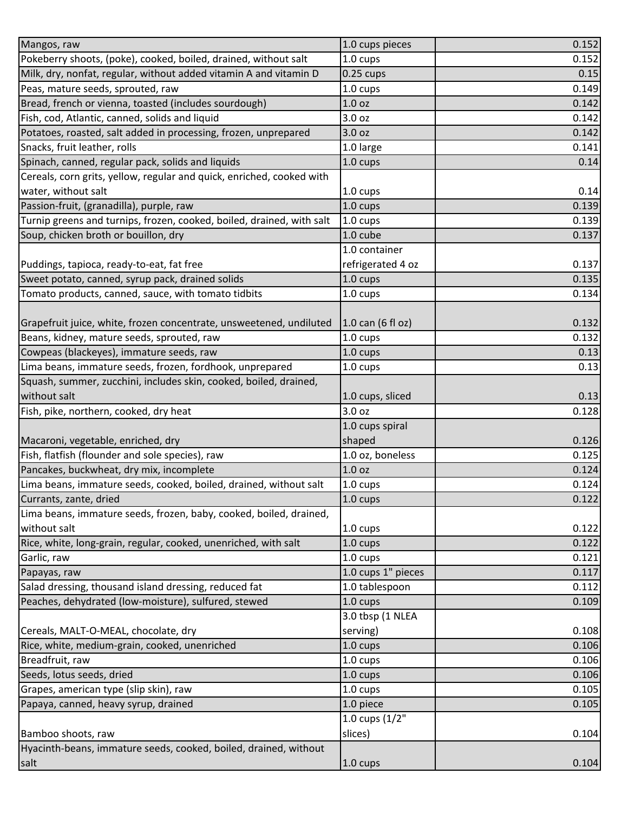| Mangos, raw                                                           | 1.0 cups pieces    | 0.152 |
|-----------------------------------------------------------------------|--------------------|-------|
| Pokeberry shoots, (poke), cooked, boiled, drained, without salt       | 1.0 cups           | 0.152 |
| Milk, dry, nonfat, regular, without added vitamin A and vitamin D     | $0.25$ cups        | 0.15  |
| Peas, mature seeds, sprouted, raw                                     | 1.0 cups           | 0.149 |
| Bread, french or vienna, toasted (includes sourdough)                 | 1.0 <sub>oz</sub>  | 0.142 |
| Fish, cod, Atlantic, canned, solids and liquid                        | 3.0 oz             | 0.142 |
| Potatoes, roasted, salt added in processing, frozen, unprepared       | 3.0 oz             | 0.142 |
| Snacks, fruit leather, rolls                                          | 1.0 large          | 0.141 |
| Spinach, canned, regular pack, solids and liquids                     | 1.0 cups           | 0.14  |
| Cereals, corn grits, yellow, regular and quick, enriched, cooked with |                    |       |
| water, without salt                                                   | 1.0 cups           | 0.14  |
| Passion-fruit, (granadilla), purple, raw                              | 1.0 cups           | 0.139 |
| Turnip greens and turnips, frozen, cooked, boiled, drained, with salt | 1.0 cups           | 0.139 |
| Soup, chicken broth or bouillon, dry                                  | 1.0 cube           | 0.137 |
|                                                                       | 1.0 container      |       |
| Puddings, tapioca, ready-to-eat, fat free                             | refrigerated 4 oz  | 0.137 |
| Sweet potato, canned, syrup pack, drained solids                      | 1.0 cups           | 0.135 |
| Tomato products, canned, sauce, with tomato tidbits                   | 1.0 cups           | 0.134 |
|                                                                       |                    |       |
| Grapefruit juice, white, frozen concentrate, unsweetened, undiluted   | 1.0 can (6 fl oz)  | 0.132 |
| Beans, kidney, mature seeds, sprouted, raw                            | 1.0 cups           | 0.132 |
| Cowpeas (blackeyes), immature seeds, raw                              | 1.0 cups           | 0.13  |
| Lima beans, immature seeds, frozen, fordhook, unprepared              | 1.0 cups           | 0.13  |
| Squash, summer, zucchini, includes skin, cooked, boiled, drained,     |                    |       |
| without salt                                                          | 1.0 cups, sliced   | 0.13  |
| Fish, pike, northern, cooked, dry heat                                | 3.0 oz             | 0.128 |
|                                                                       | 1.0 cups spiral    |       |
| Macaroni, vegetable, enriched, dry                                    | shaped             | 0.126 |
| Fish, flatfish (flounder and sole species), raw                       | 1.0 oz, boneless   | 0.125 |
| Pancakes, buckwheat, dry mix, incomplete                              | 1.0 <sub>oz</sub>  | 0.124 |
| Lima beans, immature seeds, cooked, boiled, drained, without salt     | 1.0 cups           | 0.124 |
| Currants, zante, dried                                                | 1.0 cups           | 0.122 |
| Lima beans, immature seeds, frozen, baby, cooked, boiled, drained,    |                    |       |
| without salt                                                          | 1.0 cups           | 0.122 |
| Rice, white, long-grain, regular, cooked, unenriched, with salt       | 1.0 cups           | 0.122 |
| Garlic, raw                                                           | 1.0 cups           | 0.121 |
| Papayas, raw                                                          | 1.0 cups 1" pieces | 0.117 |
| Salad dressing, thousand island dressing, reduced fat                 | 1.0 tablespoon     | 0.112 |
| Peaches, dehydrated (low-moisture), sulfured, stewed                  | 1.0 cups           | 0.109 |
|                                                                       | 3.0 tbsp (1 NLEA   |       |
| Cereals, MALT-O-MEAL, chocolate, dry                                  | serving)           | 0.108 |
| Rice, white, medium-grain, cooked, unenriched                         | $1.0 \text{ cups}$ | 0.106 |
| Breadfruit, raw                                                       | 1.0 cups           | 0.106 |
| Seeds, lotus seeds, dried                                             | 1.0 cups           | 0.106 |
| Grapes, american type (slip skin), raw                                | 1.0 cups           | 0.105 |
| Papaya, canned, heavy syrup, drained                                  | 1.0 piece          | 0.105 |
|                                                                       | 1.0 cups $(1/2"$   |       |
| Bamboo shoots, raw                                                    | slices)            | 0.104 |
| Hyacinth-beans, immature seeds, cooked, boiled, drained, without      |                    |       |
| salt                                                                  | 1.0 cups           | 0.104 |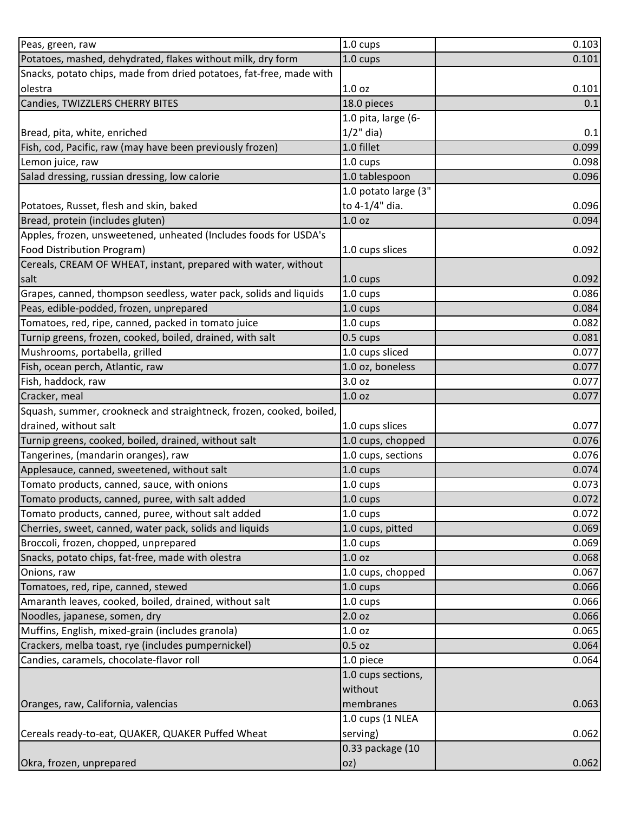| Peas, green, raw                                                    | $1.0 \text{ cups}$   | 0.103 |
|---------------------------------------------------------------------|----------------------|-------|
| Potatoes, mashed, dehydrated, flakes without milk, dry form         | 1.0 cups             | 0.101 |
| Snacks, potato chips, made from dried potatoes, fat-free, made with |                      |       |
| olestra                                                             | 1.0 <sub>oz</sub>    | 0.101 |
| Candies, TWIZZLERS CHERRY BITES                                     | 18.0 pieces          | 0.1   |
|                                                                     | 1.0 pita, large (6-  |       |
| Bread, pita, white, enriched                                        | $1/2$ " dia)         | 0.1   |
| Fish, cod, Pacific, raw (may have been previously frozen)           | 1.0 fillet           | 0.099 |
| Lemon juice, raw                                                    | $1.0 \text{ cups}$   | 0.098 |
| Salad dressing, russian dressing, low calorie                       | 1.0 tablespoon       | 0.096 |
|                                                                     | 1.0 potato large (3" |       |
| Potatoes, Russet, flesh and skin, baked                             | to 4-1/4" dia.       | 0.096 |
| Bread, protein (includes gluten)                                    | 1.0 <sub>oz</sub>    | 0.094 |
| Apples, frozen, unsweetened, unheated (Includes foods for USDA's    |                      |       |
| Food Distribution Program)                                          | 1.0 cups slices      | 0.092 |
| Cereals, CREAM OF WHEAT, instant, prepared with water, without      |                      |       |
| salt                                                                | 1.0 cups             | 0.092 |
| Grapes, canned, thompson seedless, water pack, solids and liquids   | 1.0 cups             | 0.086 |
| Peas, edible-podded, frozen, unprepared                             | 1.0 cups             | 0.084 |
| Tomatoes, red, ripe, canned, packed in tomato juice                 | 1.0 cups             | 0.082 |
| Turnip greens, frozen, cooked, boiled, drained, with salt           | 0.5 cups             | 0.081 |
| Mushrooms, portabella, grilled                                      | 1.0 cups sliced      | 0.077 |
| Fish, ocean perch, Atlantic, raw                                    | 1.0 oz, boneless     | 0.077 |
| Fish, haddock, raw                                                  | 3.0 oz               | 0.077 |
| Cracker, meal                                                       | 1.0 <sub>oz</sub>    | 0.077 |
| Squash, summer, crookneck and straightneck, frozen, cooked, boiled, |                      |       |
| drained, without salt                                               | 1.0 cups slices      | 0.077 |
| Turnip greens, cooked, boiled, drained, without salt                | 1.0 cups, chopped    | 0.076 |
| Tangerines, (mandarin oranges), raw                                 | 1.0 cups, sections   | 0.076 |
| Applesauce, canned, sweetened, without salt                         |                      | 0.074 |
| Tomato products, canned, sauce, with onions                         | 1.0 cups             |       |
|                                                                     | 1.0 cups             | 0.073 |
| Tomato products, canned, puree, with salt added                     | 1.0 cups             | 0.072 |
| Tomato products, canned, puree, without salt added                  | 1.0 cups             | 0.072 |
| Cherries, sweet, canned, water pack, solids and liquids             | 1.0 cups, pitted     | 0.069 |
| Broccoli, frozen, chopped, unprepared                               | 1.0 cups             | 0.069 |
| Snacks, potato chips, fat-free, made with olestra                   | 1.0 oz               | 0.068 |
| Onions, raw                                                         | 1.0 cups, chopped    | 0.067 |
| Tomatoes, red, ripe, canned, stewed                                 | 1.0 cups             | 0.066 |
| Amaranth leaves, cooked, boiled, drained, without salt              | 1.0 cups             | 0.066 |
| Noodles, japanese, somen, dry                                       | 2.0 <sub>oz</sub>    | 0.066 |
| Muffins, English, mixed-grain (includes granola)                    | 1.0 <sub>oz</sub>    | 0.065 |
| Crackers, melba toast, rye (includes pumpernickel)                  | $0.5$ oz             | 0.064 |
| Candies, caramels, chocolate-flavor roll                            | 1.0 piece            | 0.064 |
|                                                                     | 1.0 cups sections,   |       |
|                                                                     | without              |       |
| Oranges, raw, California, valencias                                 | membranes            | 0.063 |
|                                                                     | 1.0 cups (1 NLEA     |       |
| Cereals ready-to-eat, QUAKER, QUAKER Puffed Wheat                   | serving)             | 0.062 |
|                                                                     | 0.33 package (10     |       |
| Okra, frozen, unprepared                                            | oz)                  | 0.062 |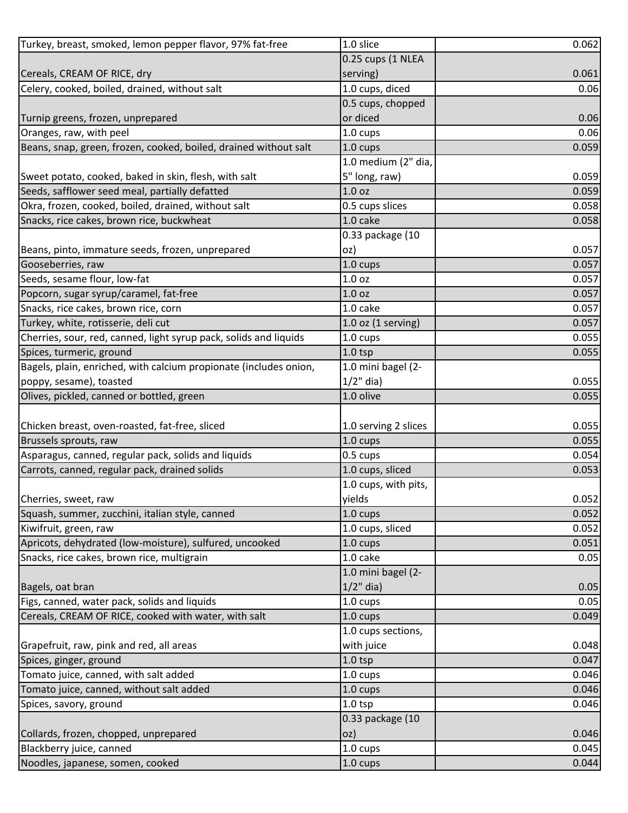| Turkey, breast, smoked, lemon pepper flavor, 97% fat-free         | 1.0 slice              | 0.062 |
|-------------------------------------------------------------------|------------------------|-------|
|                                                                   | 0.25 cups (1 NLEA      |       |
| Cereals, CREAM OF RICE, dry                                       | serving)               | 0.061 |
| Celery, cooked, boiled, drained, without salt                     | 1.0 cups, diced        | 0.06  |
|                                                                   | 0.5 cups, chopped      |       |
| Turnip greens, frozen, unprepared                                 | or diced               | 0.06  |
| Oranges, raw, with peel                                           | 1.0 cups               | 0.06  |
| Beans, snap, green, frozen, cooked, boiled, drained without salt  | 1.0 cups               | 0.059 |
|                                                                   | 1.0 medium (2" dia,    |       |
| Sweet potato, cooked, baked in skin, flesh, with salt             | 5" long, raw)          | 0.059 |
| Seeds, safflower seed meal, partially defatted                    | 1.0 <sub>oz</sub>      | 0.059 |
| Okra, frozen, cooked, boiled, drained, without salt               | 0.5 cups slices        | 0.058 |
| Snacks, rice cakes, brown rice, buckwheat                         | 1.0 cake               | 0.058 |
|                                                                   | 0.33 package (10       |       |
| Beans, pinto, immature seeds, frozen, unprepared                  | oz)                    | 0.057 |
| Gooseberries, raw                                                 | $1.0 \text{ cups}$     | 0.057 |
| Seeds, sesame flour, low-fat                                      | 1.0 <sub>oz</sub>      | 0.057 |
| Popcorn, sugar syrup/caramel, fat-free                            | 1.0 <sub>oz</sub>      | 0.057 |
| Snacks, rice cakes, brown rice, corn                              | 1.0 cake               | 0.057 |
| Turkey, white, rotisserie, deli cut                               | $1.0$ oz $(1$ serving) | 0.057 |
| Cherries, sour, red, canned, light syrup pack, solids and liquids | 1.0 cups               | 0.055 |
| Spices, turmeric, ground                                          | $1.0$ tsp              | 0.055 |
| Bagels, plain, enriched, with calcium propionate (includes onion, | 1.0 mini bagel (2-     |       |
| poppy, sesame), toasted                                           | $1/2$ " dia)           | 0.055 |
| Olives, pickled, canned or bottled, green                         | 1.0 olive              | 0.055 |
|                                                                   |                        |       |
| Chicken breast, oven-roasted, fat-free, sliced                    | 1.0 serving 2 slices   | 0.055 |
| Brussels sprouts, raw                                             | 1.0 cups               | 0.055 |
| Asparagus, canned, regular pack, solids and liquids               | 0.5 cups               | 0.054 |
| Carrots, canned, regular pack, drained solids                     | 1.0 cups, sliced       | 0.053 |
|                                                                   | 1.0 cups, with pits,   |       |
| Cherries, sweet, raw                                              | yields                 | 0.052 |
| Squash, summer, zucchini, italian style, canned                   | $1.0 \text{ cups}$     | 0.052 |
| Kiwifruit, green, raw                                             | 1.0 cups, sliced       | 0.052 |
| Apricots, dehydrated (low-moisture), sulfured, uncooked           | 1.0 cups               | 0.051 |
| Snacks, rice cakes, brown rice, multigrain                        | 1.0 cake               | 0.05  |
|                                                                   | 1.0 mini bagel (2-     |       |
| Bagels, oat bran                                                  | $1/2$ " dia)           | 0.05  |
| Figs, canned, water pack, solids and liquids                      | 1.0 cups               | 0.05  |
| Cereals, CREAM OF RICE, cooked with water, with salt              | 1.0 cups               | 0.049 |
|                                                                   | 1.0 cups sections,     |       |
| Grapefruit, raw, pink and red, all areas                          | with juice             | 0.048 |
| Spices, ginger, ground                                            | $1.0$ tsp              | 0.047 |
| Tomato juice, canned, with salt added                             | 1.0 cups               | 0.046 |
| Tomato juice, canned, without salt added                          | 1.0 cups               | 0.046 |
| Spices, savory, ground                                            | $1.0$ tsp              | 0.046 |
|                                                                   | 0.33 package (10       |       |
| Collards, frozen, chopped, unprepared                             | OZ)                    | 0.046 |
| Blackberry juice, canned                                          | 1.0 cups               | 0.045 |
| Noodles, japanese, somen, cooked                                  | 1.0 cups               | 0.044 |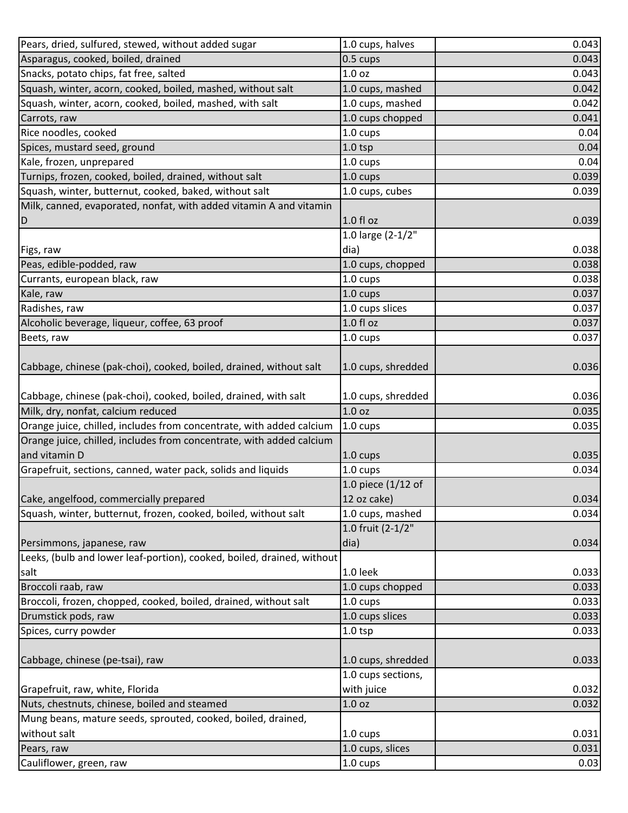| Pears, dried, sulfured, stewed, without added sugar                                                   | 1.0 cups, halves                        | 0.043          |
|-------------------------------------------------------------------------------------------------------|-----------------------------------------|----------------|
| Asparagus, cooked, boiled, drained                                                                    | 0.5 cups                                | 0.043          |
| Snacks, potato chips, fat free, salted                                                                | 1.0 <sub>oz</sub>                       | 0.043          |
| Squash, winter, acorn, cooked, boiled, mashed, without salt                                           | 1.0 cups, mashed                        | 0.042          |
| Squash, winter, acorn, cooked, boiled, mashed, with salt                                              | 1.0 cups, mashed                        | 0.042          |
| Carrots, raw                                                                                          | 1.0 cups chopped                        | 0.041          |
| Rice noodles, cooked                                                                                  | 1.0 cups                                | 0.04           |
| Spices, mustard seed, ground                                                                          | $1.0$ tsp                               | 0.04           |
| Kale, frozen, unprepared                                                                              | 1.0 cups                                | 0.04           |
| Turnips, frozen, cooked, boiled, drained, without salt                                                | 1.0 cups                                | 0.039          |
| Squash, winter, butternut, cooked, baked, without salt                                                | 1.0 cups, cubes                         | 0.039          |
| Milk, canned, evaporated, nonfat, with added vitamin A and vitamin                                    |                                         |                |
| D                                                                                                     | 1.0 fl oz                               | 0.039          |
|                                                                                                       | 1.0 large (2-1/2"                       |                |
| Figs, raw                                                                                             | dia)                                    | 0.038          |
| Peas, edible-podded, raw                                                                              | 1.0 cups, chopped                       | 0.038          |
| Currants, european black, raw                                                                         | 1.0 cups                                | 0.038          |
| Kale, raw                                                                                             | 1.0 cups                                | 0.037          |
| Radishes, raw                                                                                         | 1.0 cups slices                         | 0.037          |
| Alcoholic beverage, liqueur, coffee, 63 proof                                                         | 1.0 f1 oz                               | 0.037          |
| Beets, raw                                                                                            | 1.0 cups                                | 0.037          |
|                                                                                                       |                                         |                |
| Cabbage, chinese (pak-choi), cooked, boiled, drained, without salt                                    | 1.0 cups, shredded                      | 0.036          |
|                                                                                                       |                                         |                |
| Cabbage, chinese (pak-choi), cooked, boiled, drained, with salt<br>Milk, dry, nonfat, calcium reduced | 1.0 cups, shredded<br>1.0 <sub>oz</sub> | 0.036<br>0.035 |
|                                                                                                       |                                         |                |
| Orange juice, chilled, includes from concentrate, with added calcium                                  | 1.0 cups                                | 0.035          |
| Orange juice, chilled, includes from concentrate, with added calcium                                  |                                         |                |
| and vitamin D                                                                                         | 1.0 cups                                | 0.035          |
| Grapefruit, sections, canned, water pack, solids and liquids                                          | 1.0 cups                                | 0.034          |
|                                                                                                       | 1.0 piece (1/12 of                      |                |
| Cake, angelfood, commercially prepared                                                                | 12 oz cake)                             | 0.034          |
| Squash, winter, butternut, frozen, cooked, boiled, without salt                                       | 1.0 cups, mashed                        | 0.034          |
|                                                                                                       | 1.0 fruit (2-1/2"                       |                |
| Persimmons, japanese, raw                                                                             | dia)                                    | 0.034          |
| Leeks, (bulb and lower leaf-portion), cooked, boiled, drained, without                                |                                         |                |
| salt                                                                                                  | 1.0 leek                                | 0.033          |
| Broccoli raab, raw                                                                                    | 1.0 cups chopped                        | 0.033          |
| Broccoli, frozen, chopped, cooked, boiled, drained, without salt                                      | 1.0 cups                                | 0.033          |
| Drumstick pods, raw                                                                                   | 1.0 cups slices                         | 0.033          |
| Spices, curry powder                                                                                  | $1.0$ tsp                               | 0.033          |
| Cabbage, chinese (pe-tsai), raw                                                                       | 1.0 cups, shredded                      | 0.033          |
|                                                                                                       | 1.0 cups sections,                      |                |
| Grapefruit, raw, white, Florida                                                                       | with juice                              | 0.032          |
| Nuts, chestnuts, chinese, boiled and steamed                                                          | 1.0 <sub>oz</sub>                       | 0.032          |
| Mung beans, mature seeds, sprouted, cooked, boiled, drained,                                          |                                         |                |
| without salt                                                                                          | 1.0 cups                                | 0.031          |
| Pears, raw                                                                                            | 1.0 cups, slices                        | 0.031          |
| Cauliflower, green, raw                                                                               | 1.0 cups                                | 0.03           |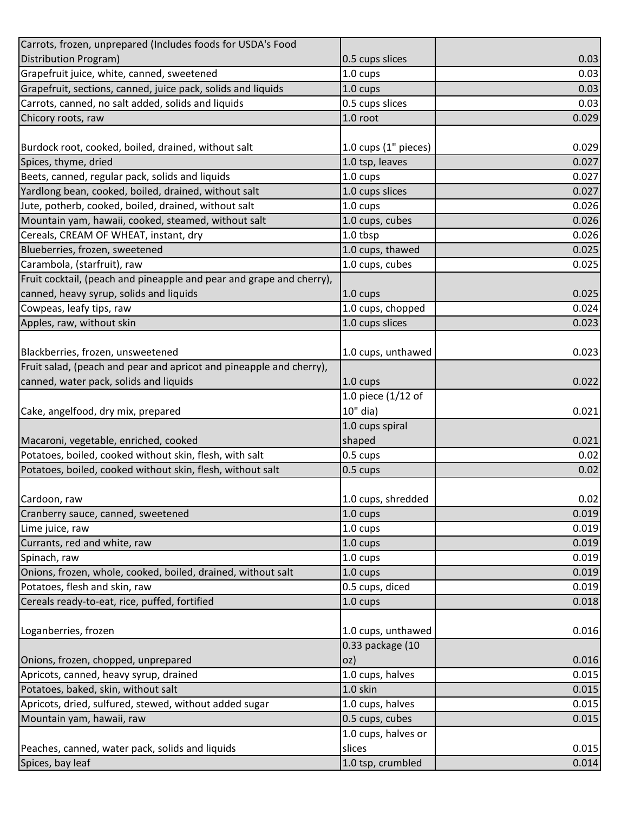| Carrots, frozen, unprepared (Includes foods for USDA's Food          |                      |       |
|----------------------------------------------------------------------|----------------------|-------|
| Distribution Program)                                                | 0.5 cups slices      | 0.03  |
| Grapefruit juice, white, canned, sweetened                           | 1.0 cups             | 0.03  |
| Grapefruit, sections, canned, juice pack, solids and liquids         | $1.0 \text{ cups}$   | 0.03  |
| Carrots, canned, no salt added, solids and liquids                   | 0.5 cups slices      | 0.03  |
| Chicory roots, raw                                                   | 1.0 root             | 0.029 |
|                                                                      |                      |       |
| Burdock root, cooked, boiled, drained, without salt                  | 1.0 cups (1" pieces) | 0.029 |
| Spices, thyme, dried                                                 | 1.0 tsp, leaves      | 0.027 |
| Beets, canned, regular pack, solids and liquids                      | $1.0 \text{ cups}$   | 0.027 |
| Yardlong bean, cooked, boiled, drained, without salt                 | 1.0 cups slices      | 0.027 |
| Jute, potherb, cooked, boiled, drained, without salt                 | 1.0 cups             | 0.026 |
| Mountain yam, hawaii, cooked, steamed, without salt                  | 1.0 cups, cubes      | 0.026 |
| Cereals, CREAM OF WHEAT, instant, dry                                | 1.0 tbsp             | 0.026 |
| Blueberries, frozen, sweetened                                       | 1.0 cups, thawed     | 0.025 |
| Carambola, (starfruit), raw                                          | 1.0 cups, cubes      | 0.025 |
| Fruit cocktail, (peach and pineapple and pear and grape and cherry), |                      |       |
| canned, heavy syrup, solids and liquids                              | $1.0 \text{ cups}$   | 0.025 |
| Cowpeas, leafy tips, raw                                             | 1.0 cups, chopped    | 0.024 |
| Apples, raw, without skin                                            | 1.0 cups slices      | 0.023 |
|                                                                      |                      |       |
| Blackberries, frozen, unsweetened                                    | 1.0 cups, unthawed   | 0.023 |
| Fruit salad, (peach and pear and apricot and pineapple and cherry),  |                      |       |
| canned, water pack, solids and liquids                               | 1.0 cups             | 0.022 |
|                                                                      | 1.0 piece (1/12 of   |       |
| Cake, angelfood, dry mix, prepared                                   | 10" dia)             | 0.021 |
|                                                                      | 1.0 cups spiral      |       |
| Macaroni, vegetable, enriched, cooked                                | shaped               | 0.021 |
| Potatoes, boiled, cooked without skin, flesh, with salt              | 0.5 cups             | 0.02  |
| Potatoes, boiled, cooked without skin, flesh, without salt           | 0.5 cups             | 0.02  |
|                                                                      |                      |       |
| Cardoon, raw                                                         | 1.0 cups, shredded   | 0.02  |
| Cranberry sauce, canned, sweetened                                   | 1.0 cups             | 0.019 |
| Lime juice, raw                                                      | 1.0 cups             | 0.019 |
| Currants, red and white, raw                                         | 1.0 cups             | 0.019 |
| Spinach, raw                                                         | 1.0 cups             | 0.019 |
| Onions, frozen, whole, cooked, boiled, drained, without salt         | 1.0 cups             | 0.019 |
| Potatoes, flesh and skin, raw                                        | 0.5 cups, diced      | 0.019 |
| Cereals ready-to-eat, rice, puffed, fortified                        | 1.0 cups             | 0.018 |
|                                                                      |                      |       |
| Loganberries, frozen                                                 | 1.0 cups, unthawed   | 0.016 |
|                                                                      | 0.33 package (10     |       |
| Onions, frozen, chopped, unprepared                                  | oz)                  | 0.016 |
| Apricots, canned, heavy syrup, drained                               | 1.0 cups, halves     | 0.015 |
| Potatoes, baked, skin, without salt                                  | 1.0 skin             | 0.015 |
| Apricots, dried, sulfured, stewed, without added sugar               | 1.0 cups, halves     | 0.015 |
| Mountain yam, hawaii, raw                                            | 0.5 cups, cubes      | 0.015 |
|                                                                      | 1.0 cups, halves or  |       |
| Peaches, canned, water pack, solids and liquids                      | slices               | 0.015 |
| Spices, bay leaf                                                     | 1.0 tsp, crumbled    | 0.014 |